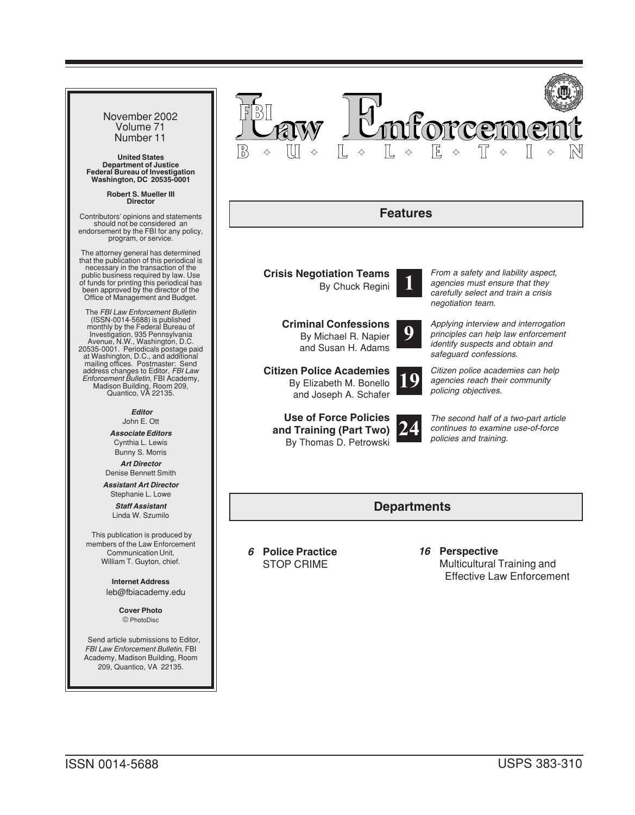| November 2002<br>Volume 71<br>Number 11<br><b>United States</b><br><b>Department of Justice</b><br><b>Federal Bureau of Investigation</b><br>Washington, DC 20535-0001<br><b>Robert S. Mueller III</b>                                                                                                                                                                                                                                                                                                                                                                                                                                                                                                                                                                                                                                                                                                                                                                                                           | <b>Force</b><br>B                                                                                                                                                                                                                                                                                                                                                                                                                                                                                                                                                                                                                                                                                                                                                                                               |
|------------------------------------------------------------------------------------------------------------------------------------------------------------------------------------------------------------------------------------------------------------------------------------------------------------------------------------------------------------------------------------------------------------------------------------------------------------------------------------------------------------------------------------------------------------------------------------------------------------------------------------------------------------------------------------------------------------------------------------------------------------------------------------------------------------------------------------------------------------------------------------------------------------------------------------------------------------------------------------------------------------------|-----------------------------------------------------------------------------------------------------------------------------------------------------------------------------------------------------------------------------------------------------------------------------------------------------------------------------------------------------------------------------------------------------------------------------------------------------------------------------------------------------------------------------------------------------------------------------------------------------------------------------------------------------------------------------------------------------------------------------------------------------------------------------------------------------------------|
| <b>Director</b><br>Contributors' opinions and statements<br>should not be considered an                                                                                                                                                                                                                                                                                                                                                                                                                                                                                                                                                                                                                                                                                                                                                                                                                                                                                                                          | <b>Features</b>                                                                                                                                                                                                                                                                                                                                                                                                                                                                                                                                                                                                                                                                                                                                                                                                 |
| endorsement by the FBI for any policy,<br>program, or service.<br>The attorney general has determined<br>that the publication of this periodical is<br>necessary in the transaction of the<br>public business required by law. Use<br>of funds for printing this periodical has<br>been approved by the director of the<br>Office of Management and Budget.<br>The FBI Law Enforcement Bulletin<br>$(ISSN-0014-5688)$ is published<br>monthly by the Federal Bureau of<br>Investigation, 935 Pennsylvania<br>Avenue, N.W., Washington, D.C.<br>20535-0001. Periodicals postage paid<br>at Washington, D.C., and additional<br>mailing offices. Postmaster: Send<br>address changes to Editor, FBI Law<br>Enforcement Bulletin, FBI Academy,<br>Madison Building, Room 209,<br>Quantico, VA 22135.<br><b>Editor</b><br>John E. Ott<br><b>Associate Editors</b><br>Cynthia L. Lewis<br>Bunny S. Morris<br><b>Art Director</b><br><b>Denise Bennett Smith</b><br><b>Assistant Art Director</b><br>Stephanie L. Lowe | <b>Crisis Negotiation Teams</b><br>From a safety and liability aspect,<br>agencies must ensure that they<br>By Chuck Regini<br>carefully select and train a crisis<br>negotiation team.<br><b>Criminal Confessions</b><br>Applying interview and interrogation<br>9<br>principles can help law enforcement<br>By Michael R. Napier<br>identify suspects and obtain and<br>and Susan H. Adams<br>safeguard confessions.<br><b>Citizen Police Academies</b><br>Citizen police academies can help<br>19<br>agencies reach their community<br>By Elizabeth M. Bonello<br>policing objectives.<br>and Joseph A. Schafer<br><b>Use of Force Policies</b><br>The second half of a two-part article<br>continues to examine use-of-force<br>and Training (Part Two)<br>policies and training.<br>By Thomas D. Petrowski |
| <b>Staff Assistant</b><br>Linda W. Szumilo                                                                                                                                                                                                                                                                                                                                                                                                                                                                                                                                                                                                                                                                                                                                                                                                                                                                                                                                                                       | <b>Departments</b>                                                                                                                                                                                                                                                                                                                                                                                                                                                                                                                                                                                                                                                                                                                                                                                              |
| This publication is produced by<br>members of the Law Enforcement<br>Communication Unit,<br>William T. Guyton, chief.<br><b>Internet Address</b><br>leb@fbiacademy.edu<br><b>Cover Photo</b><br>© PhotoDisc<br>Send article submissions to Editor,<br>FBI Law Enforcement Bulletin, FBI<br>Academy, Madison Building, Room<br>209, Quantico, VA 22135.                                                                                                                                                                                                                                                                                                                                                                                                                                                                                                                                                                                                                                                           | <b>Police Practice</b><br>16 Perspective<br>6<br>Multicultural Training and<br><b>STOP CRIME</b><br><b>Effective Law Enforcement</b>                                                                                                                                                                                                                                                                                                                                                                                                                                                                                                                                                                                                                                                                            |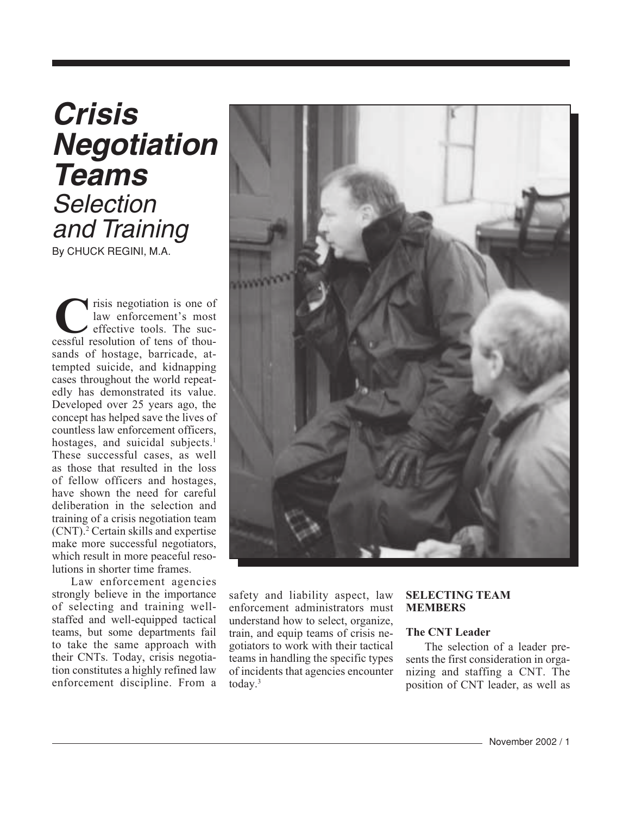# **Crisis Negotiation Teams Selection** and Training By CHUCK REGINI, M.A.

risis negotiation is one of<br>law enforcement's most **C** risis negotiation is one of law enforcement's most effective tools. The successful resolution of tens of thousands of hostage, barricade, attempted suicide, and kidnapping cases throughout the world repeatedly has demonstrated its value. Developed over 25 years ago, the concept has helped save the lives of countless law enforcement officers, hostages, and suicidal subjects.<sup>1</sup> These successful cases, as well as those that resulted in the loss of fellow officers and hostages, have shown the need for careful deliberation in the selection and training of a crisis negotiation team (CNT).<sup>2</sup> Certain skills and expertise make more successful negotiators, which result in more peaceful resolutions in shorter time frames.

Law enforcement agencies strongly believe in the importance of selecting and training wellstaffed and well-equipped tactical teams, but some departments fail to take the same approach with their CNTs. Today, crisis negotiation constitutes a highly refined law enforcement discipline. From a



safety and liability aspect, law enforcement administrators must understand how to select, organize, train, and equip teams of crisis negotiators to work with their tactical teams in handling the specific types of incidents that agencies encounter today.<sup>3</sup>

#### **SELECTING TEAM MEMBERS**

#### **The CNT Leader**

The selection of a leader presents the first consideration in organizing and staffing a CNT. The position of CNT leader, as well as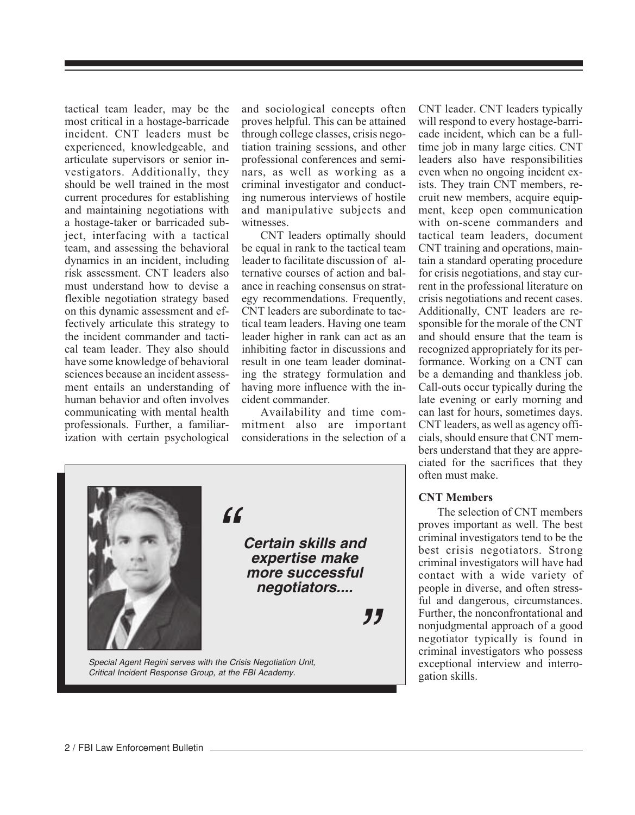tactical team leader, may be the most critical in a hostage-barricade incident. CNT leaders must be experienced, knowledgeable, and articulate supervisors or senior investigators. Additionally, they should be well trained in the most current procedures for establishing and maintaining negotiations with a hostage-taker or barricaded subject, interfacing with a tactical team, and assessing the behavioral dynamics in an incident, including risk assessment. CNT leaders also must understand how to devise a flexible negotiation strategy based on this dynamic assessment and effectively articulate this strategy to the incident commander and tactical team leader. They also should have some knowledge of behavioral sciences because an incident assessment entails an understanding of human behavior and often involves communicating with mental health professionals. Further, a familiarization with certain psychological

and sociological concepts often proves helpful. This can be attained through college classes, crisis negotiation training sessions, and other professional conferences and seminars, as well as working as a criminal investigator and conducting numerous interviews of hostile and manipulative subjects and witnesses.

CNT leaders optimally should be equal in rank to the tactical team leader to facilitate discussion of alternative courses of action and balance in reaching consensus on strategy recommendations. Frequently, CNT leaders are subordinate to tactical team leaders. Having one team leader higher in rank can act as an inhibiting factor in discussions and result in one team leader dominating the strategy formulation and having more influence with the incident commander.

Availability and time commitment also are important considerations in the selection of a CNT leader. CNT leaders typically will respond to every hostage-barricade incident, which can be a fulltime job in many large cities. CNT leaders also have responsibilities even when no ongoing incident exists. They train CNT members, recruit new members, acquire equipment, keep open communication with on-scene commanders and tactical team leaders, document CNT training and operations, maintain a standard operating procedure for crisis negotiations, and stay current in the professional literature on crisis negotiations and recent cases. Additionally, CNT leaders are responsible for the morale of the CNT and should ensure that the team is recognized appropriately for its performance. Working on a CNT can be a demanding and thankless job. Call-outs occur typically during the late evening or early morning and can last for hours, sometimes days. CNT leaders, as well as agency officials, should ensure that CNT members understand that they are appreciated for the sacrifices that they often must make.

#### **CNT Members**

The selection of CNT members proves important as well. The best criminal investigators tend to be the best crisis negotiators. Strong criminal investigators will have had contact with a wide variety of people in diverse, and often stressful and dangerous, circumstances. Further, the nonconfrontational and nonjudgmental approach of a good negotiator typically is found in criminal investigators who possess exceptional interview and interrogation skills.



 $\epsilon$ 

**Certain skills and expertise make more successful negotiators....**

"

Special Agent Regini serves with the Crisis Negotiation Unit, Critical Incident Response Group, at the FBI Academy.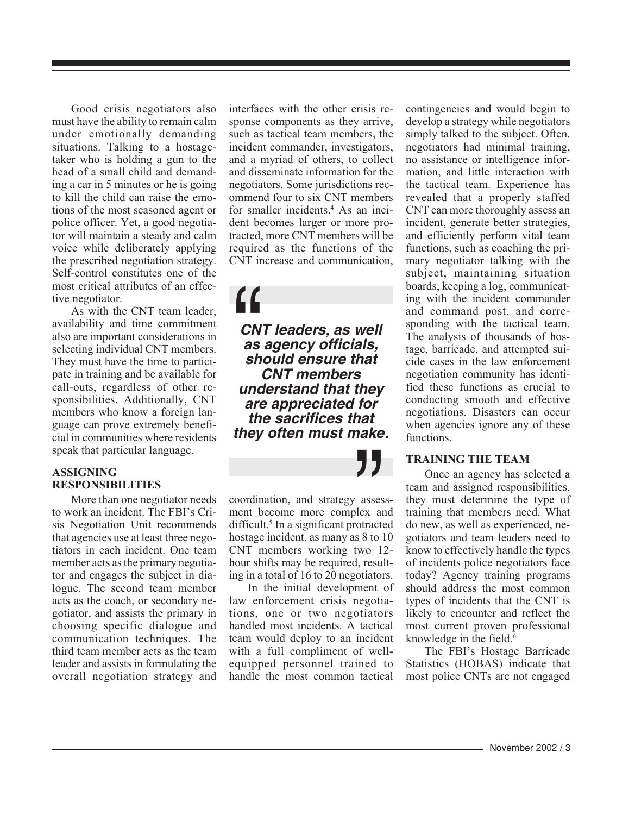Good crisis negotiators also must have the ability to remain calm under emotionally demanding situations. Talking to a hostagetaker who is holding a gun to the head of a small child and demanding a car in 5 minutes or he is going to kill the child can raise the emotions of the most seasoned agent or police officer. Yet, a good negotiator will maintain a steady and calm voice while deliberately applying the prescribed negotiation strategy. Self-control constitutes one of the most critical attributes of an effective negotiator.

As with the CNT team leader, availability and time commitment also are important considerations in selecting individual CNT members. They must have the time to participate in training and be available for call-outs, regardless of other responsibilities. Additionally, CNT members who know a foreign language can prove extremely beneficial in communities where residents speak that particular language.

#### **ASSIGNING RESPONSIBILITIES**

More than one negotiator needs to work an incident. The FBI's Crisis Negotiation Unit recommends that agencies use at least three negotiators in each incident. One team member acts as the primary negotiator and engages the subject in dialogue. The second team member acts as the coach, or secondary negotiator, and assists the primary in choosing specific dialogue and communication techniques. The third team member acts as the team leader and assists in formulating the overall negotiation strategy and interfaces with the other crisis response components as they arrive, such as tactical team members, the incident commander, investigators, and a myriad of others, to collect and disseminate information for the negotiators. Some jurisdictions recommend four to six CNT members for smaller incidents.<sup>4</sup> As an incident becomes larger or more protracted, more CNT members will be required as the functions of the CNT increase and communication,

**CNT leaders, as well as agency officials, should ensure that CNT members understand that they are appreciated for the sacrifices that they often must make.**  $\frac{1}{2}$  CN1<br>as a<br>should

coordination, and strategy assessment become more complex and difficult.<sup>5</sup> In a significant protracted hostage incident, as many as 8 to 10 CNT members working two 12 hour shifts may be required, resulting in a total of 16 to 20 negotiators. **THE**<br>
asses<br>
lex an<br>
otracte<br>
s 8 to 1

In the initial development of law enforcement crisis negotiations, one or two negotiators handled most incidents. A tactical team would deploy to an incident with a full compliment of wellequipped personnel trained to handle the most common tactical

contingencies and would begin to develop a strategy while negotiators simply talked to the subject. Often, negotiators had minimal training, no assistance or intelligence information, and little interaction with the tactical team. Experience has revealed that a properly staffed CNT can more thoroughly assess an incident, generate better strategies, and efficiently perform vital team functions, such as coaching the primary negotiator talking with the subject, maintaining situation boards, keeping a log, communicating with the incident commander and command post, and corresponding with the tactical team. The analysis of thousands of hostage, barricade, and attempted suicide cases in the law enforcement negotiation community has identified these functions as crucial to conducting smooth and effective negotiations. Disasters can occur when agencies ignore any of these functions.

### **TRAINING THE TEAM**

Once an agency has selected a team and assigned responsibilities, they must determine the type of training that members need. What do new, as well as experienced, negotiators and team leaders need to know to effectively handle the types of incidents police negotiators face today? Agency training programs should address the most common types of incidents that the CNT is likely to encounter and reflect the most current proven professional knowledge in the field.<sup>6</sup>

The FBI's Hostage Barricade Statistics (HOBAS) indicate that most police CNTs are not engaged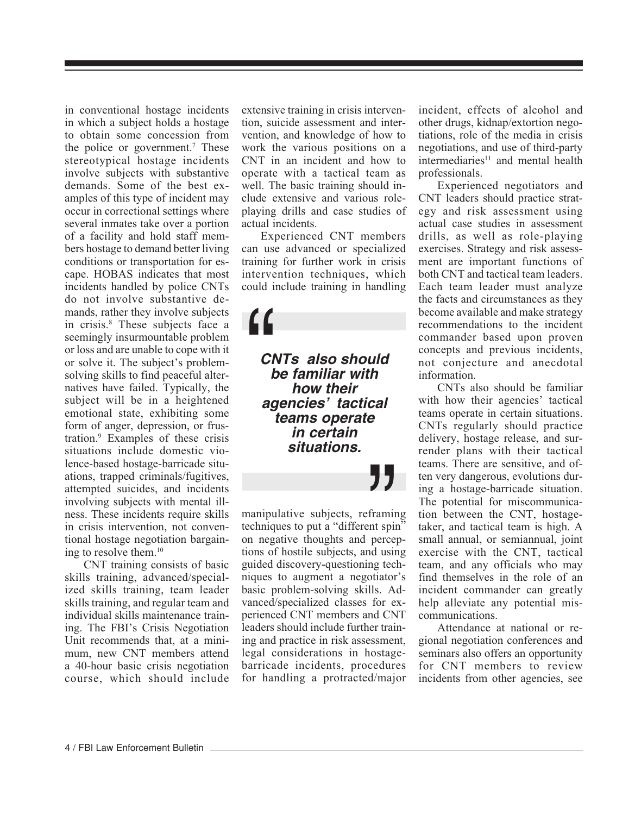in conventional hostage incidents in which a subject holds a hostage to obtain some concession from the police or government.<sup>7</sup> These stereotypical hostage incidents involve subjects with substantive demands. Some of the best examples of this type of incident may occur in correctional settings where several inmates take over a portion of a facility and hold staff members hostage to demand better living conditions or transportation for escape. HOBAS indicates that most incidents handled by police CNTs do not involve substantive demands, rather they involve subjects in crisis.<sup>8</sup> These subjects face a seemingly insurmountable problem or loss and are unable to cope with it or solve it. The subject's problemsolving skills to find peaceful alternatives have failed. Typically, the subject will be in a heightened emotional state, exhibiting some form of anger, depression, or frustration.<sup>9</sup> Examples of these crisis situations include domestic violence-based hostage-barricade situations, trapped criminals/fugitives, attempted suicides, and incidents involving subjects with mental illness. These incidents require skills in crisis intervention, not conventional hostage negotiation bargaining to resolve them.<sup>10</sup>

CNT training consists of basic skills training, advanced/specialized skills training, team leader skills training, and regular team and individual skills maintenance training. The FBI's Crisis Negotiation Unit recommends that, at a minimum, new CNT members attend a 40-hour basic crisis negotiation course, which should include extensive training in crisis intervention, suicide assessment and intervention, and knowledge of how to work the various positions on a CNT in an incident and how to operate with a tactical team as well. The basic training should include extensive and various roleplaying drills and case studies of actual incidents.

Experienced CNT members can use advanced or specialized training for further work in crisis intervention techniques, which could include training in handling

**CNTs also should be familiar with how their agencies' tactical teams operate in certain situations.** "

manipulative subjects, reframing techniques to put a "different spin" on negative thoughts and perceptions of hostile subjects, and using guided discovery-questioning techniques to augment a negotiator's basic problem-solving skills. Advanced/specialized classes for experienced CNT members and CNT leaders should include further training and practice in risk assessment, legal considerations in hostagebarricade incidents, procedures for handling a protracted/major **77**<br>framin<br>nt spin<br>perce<sub>l</sub><br>nd usin

incident, effects of alcohol and other drugs, kidnap/extortion negotiations, role of the media in crisis negotiations, and use of third-party  $intermediaries<sup>11</sup>$  and mental health professionals.

Experienced negotiators and CNT leaders should practice strategy and risk assessment using actual case studies in assessment drills, as well as role-playing exercises. Strategy and risk assessment are important functions of both CNT and tactical team leaders. Each team leader must analyze the facts and circumstances as they become available and make strategy recommendations to the incident commander based upon proven concepts and previous incidents, not conjecture and anecdotal information.

CNTs also should be familiar with how their agencies' tactical teams operate in certain situations. CNTs regularly should practice delivery, hostage release, and surrender plans with their tactical teams. There are sensitive, and often very dangerous, evolutions during a hostage-barricade situation. The potential for miscommunication between the CNT, hostagetaker, and tactical team is high. A small annual, or semiannual, joint exercise with the CNT, tactical team, and any officials who may find themselves in the role of an incident commander can greatly help alleviate any potential miscommunications.

Attendance at national or regional negotiation conferences and seminars also offers an opportunity for CNT members to review incidents from other agencies, see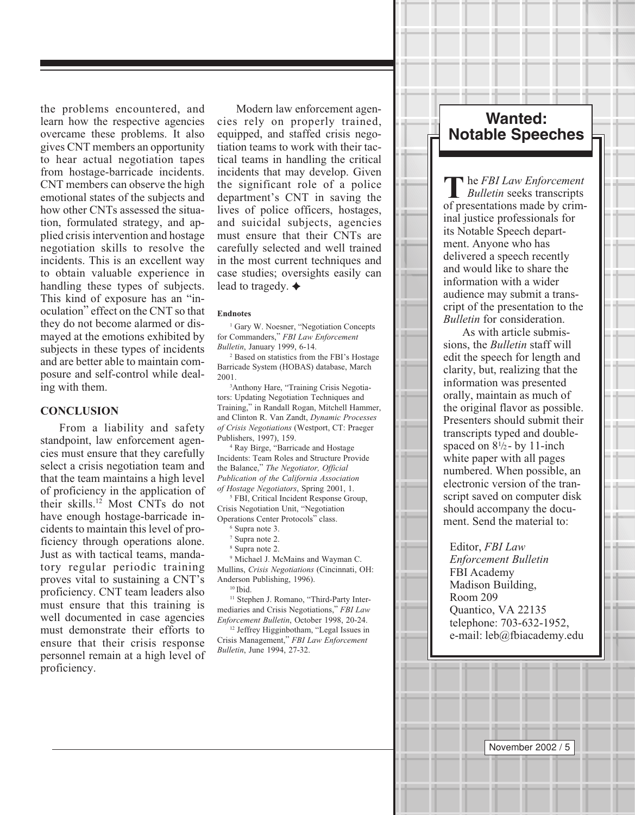the problems encountered, and learn how the respective agencies overcame these problems. It also gives CNT members an opportunity to hear actual negotiation tapes from hostage-barricade incidents. CNT members can observe the high emotional states of the subjects and how other CNTs assessed the situation, formulated strategy, and applied crisis intervention and hostage negotiation skills to resolve the incidents. This is an excellent way to obtain valuable experience in handling these types of subjects. This kind of exposure has an "inoculation" effect on the CNT so that they do not become alarmed or dismayed at the emotions exhibited by subjects in these types of incidents and are better able to maintain composure and self-control while dealing with them.

#### **CONCLUSION**

From a liability and safety standpoint, law enforcement agencies must ensure that they carefully select a crisis negotiation team and that the team maintains a high level of proficiency in the application of their skills.<sup>12</sup> Most CNTs do not have enough hostage-barricade incidents to maintain this level of proficiency through operations alone. Just as with tactical teams, mandatory regular periodic training proves vital to sustaining a CNT's proficiency. CNT team leaders also must ensure that this training is well documented in case agencies must demonstrate their efforts to ensure that their crisis response personnel remain at a high level of proficiency.

Modern law enforcement agencies rely on properly trained, equipped, and staffed crisis negotiation teams to work with their tactical teams in handling the critical incidents that may develop. Given the significant role of a police department's CNT in saving the lives of police officers, hostages, and suicidal subjects, agencies must ensure that their CNTs are carefully selected and well trained in the most current techniques and case studies; oversights easily can lead to tragedy.  $\triangleleft$ 

#### **Endnotes**

<sup>1</sup> Gary W. Noesner, "Negotiation Concepts for Commanders," *FBI Law Enforcement Bulletin*, January 1999, 6-14.

2 Based on statistics from the FBI's Hostage Barricade System (HOBAS) database, March 2001.

3Anthony Hare, "Training Crisis Negotiators: Updating Negotiation Techniques and Training," in Randall Rogan, Mitchell Hammer, and Clinton R. Van Zandt, *Dynamic Processes of Crisis Negotiations* (Westport, CT: Praeger Publishers, 1997), 159.

4 Ray Birge, "Barricade and Hostage Incidents: Team Roles and Structure Provide the Balance," *The Negotiator, Official Publication of the California Association of Hostage Negotiators*, Spring 2001, 1.

5 FBI, Critical Incident Response Group, Crisis Negotiation Unit, "Negotiation Operations Center Protocols" class.

6 Supra note 3.

7 Supra note 2.

8 Supra note 2.

9 Michael J. McMains and Wayman C. Mullins, *Crisis Negotiations* (Cincinnati, OH: Anderson Publishing, 1996).

 $10$  Ibid.

<sup>11</sup> Stephen J. Romano, "Third-Party Intermediaries and Crisis Negotiations," *FBI Law Enforcement Bulletin*, October 1998, 20-24.

<sup>12</sup> Jeffrey Higginbotham, "Legal Issues in Crisis Management," *FBI Law Enforcement Bulletin*, June 1994, 27-32.

### **Wanted: Notable Speeches**

he *FBI Law Enforcement* **T***Bulletin* seeks transcripts of presentations made by criminal justice professionals for its Notable Speech department. Anyone who has delivered a speech recently and would like to share the information with a wider audience may submit a transcript of the presentation to the *Bulletin* for consideration.

As with article submissions, the *Bulletin* staff will edit the speech for length and clarity, but, realizing that the information was presented orally, maintain as much of the original flavor as possible. Presenters should submit their transcripts typed and doublespaced on 8<sup>1</sup>/<sub>2</sub>- by 11-inch white paper with all pages numbered. When possible, an electronic version of the transcript saved on computer disk should accompany the document. Send the material to:

Editor, *FBI Law Enforcement Bulletin* FBI Academy Madison Building, Room 209 Quantico, VA 22135 telephone: 703-632-1952, e-mail: leb@fbiacademy.edu

November 2002 / 5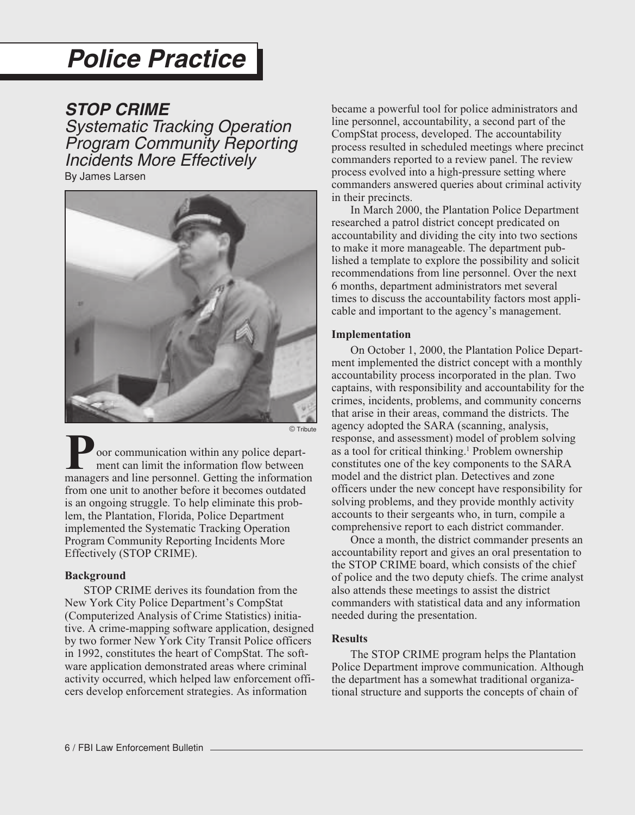# **Police Practice**

### **STOP CRIME**

Systematic Tracking Operation Program Community Reporting Incidents More Effectively

By James Larsen



© Tribute

oor communication within any police depart-<br>ment can limit the information flow between managers and line personnel. Getting the information from one unit to another before it becomes outdated is an ongoing struggle. To help eliminate this problem, the Plantation, Florida, Police Department implemented the Systematic Tracking Operation Program Community Reporting Incidents More Effectively (STOP CRIME).

### **Background**

STOP CRIME derives its foundation from the New York City Police Department's CompStat (Computerized Analysis of Crime Statistics) initiative. A crime-mapping software application, designed by two former New York City Transit Police officers in 1992, constitutes the heart of CompStat. The software application demonstrated areas where criminal activity occurred, which helped law enforcement officers develop enforcement strategies. As information

became a powerful tool for police administrators and line personnel, accountability, a second part of the CompStat process, developed. The accountability process resulted in scheduled meetings where precinct commanders reported to a review panel. The review process evolved into a high-pressure setting where commanders answered queries about criminal activity in their precincts.

In March 2000, the Plantation Police Department researched a patrol district concept predicated on accountability and dividing the city into two sections to make it more manageable. The department published a template to explore the possibility and solicit recommendations from line personnel. Over the next 6 months, department administrators met several times to discuss the accountability factors most applicable and important to the agency's management.

#### **Implementation**

On October 1, 2000, the Plantation Police Department implemented the district concept with a monthly accountability process incorporated in the plan. Two captains, with responsibility and accountability for the crimes, incidents, problems, and community concerns that arise in their areas, command the districts. The agency adopted the SARA (scanning, analysis, response, and assessment) model of problem solving as a tool for critical thinking.<sup>1</sup> Problem ownership constitutes one of the key components to the SARA model and the district plan. Detectives and zone officers under the new concept have responsibility for solving problems, and they provide monthly activity accounts to their sergeants who, in turn, compile a comprehensive report to each district commander.

Once a month, the district commander presents an accountability report and gives an oral presentation to the STOP CRIME board, which consists of the chief of police and the two deputy chiefs. The crime analyst also attends these meetings to assist the district commanders with statistical data and any information needed during the presentation.

### **Results**

The STOP CRIME program helps the Plantation Police Department improve communication. Although the department has a somewhat traditional organizational structure and supports the concepts of chain of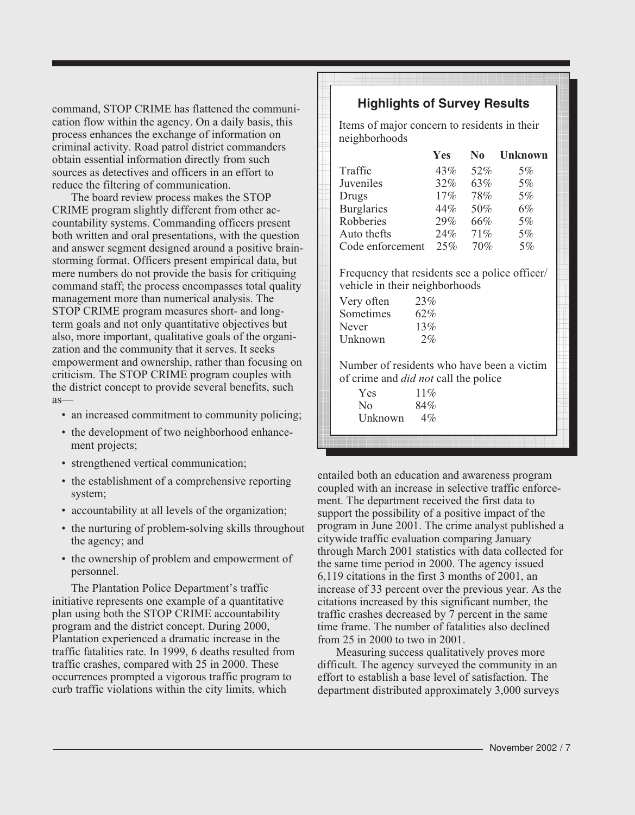command, STOP CRIME has flattened the communication flow within the agency. On a daily basis, this process enhances the exchange of information on criminal activity. Road patrol district commanders obtain essential information directly from such sources as detectives and officers in an effort to reduce the filtering of communication.

The board review process makes the STOP CRIME program slightly different from other accountability systems. Commanding officers present both written and oral presentations, with the question and answer segment designed around a positive brainstorming format. Officers present empirical data, but mere numbers do not provide the basis for critiquing command staff; the process encompasses total quality management more than numerical analysis. The STOP CRIME program measures short- and longterm goals and not only quantitative objectives but also, more important, qualitative goals of the organization and the community that it serves. It seeks empowerment and ownership, rather than focusing on criticism. The STOP CRIME program couples with the district concept to provide several benefits, such as—

- an increased commitment to community policing;
- the development of two neighborhood enhancement projects;
- strengthened vertical communication;
- the establishment of a comprehensive reporting system;
- accountability at all levels of the organization;
- the nurturing of problem-solving skills throughout the agency; and
- the ownership of problem and empowerment of personnel.

The Plantation Police Department's traffic initiative represents one example of a quantitative plan using both the STOP CRIME accountability program and the district concept. During 2000, Plantation experienced a dramatic increase in the traffic fatalities rate. In 1999, 6 deaths resulted from traffic crashes, compared with 25 in 2000. These occurrences prompted a vigorous traffic program to curb traffic violations within the city limits, which

## **Highlights of Survey Results**

Items of major concern to residents in their neighborhoods

|                   | Yes | No  | <b>Unknown</b> |
|-------------------|-----|-----|----------------|
| Traffic           | 43% | 52% | 5%             |
| Juveniles         | 32% | 63% | 5%             |
| Drugs             | 17% | 78% | 5%             |
| <b>Burglaries</b> | 44% | 50% | 6%             |
| Robberies         | 29% | 66% | 5%             |
| Auto thefts       | 24% | 71% | 5%             |
| Code enforcement  | 25% | 70% | 5%             |
|                   |     |     |                |

Frequency that residents see a police officer/ vehicle in their neighborhoods

| Very often | 23% |
|------------|-----|
| Sometimes  | 62% |
| Never      | 13% |
| Unknown    | 2%  |

Number of residents who have been a victim of crime and *did not* call the police

| Yes<br>No<br>Unknown | 11%<br>84%<br>4% |  |
|----------------------|------------------|--|
|                      |                  |  |

entailed both an education and awareness program coupled with an increase in selective traffic enforcement. The department received the first data to support the possibility of a positive impact of the program in June 2001. The crime analyst published a citywide traffic evaluation comparing January through March 2001 statistics with data collected for the same time period in 2000. The agency issued 6,119 citations in the first 3 months of 2001, an increase of 33 percent over the previous year. As the citations increased by this significant number, the traffic crashes decreased by 7 percent in the same time frame. The number of fatalities also declined from 25 in 2000 to two in 2001.

Measuring success qualitatively proves more difficult. The agency surveyed the community in an effort to establish a base level of satisfaction. The department distributed approximately 3,000 surveys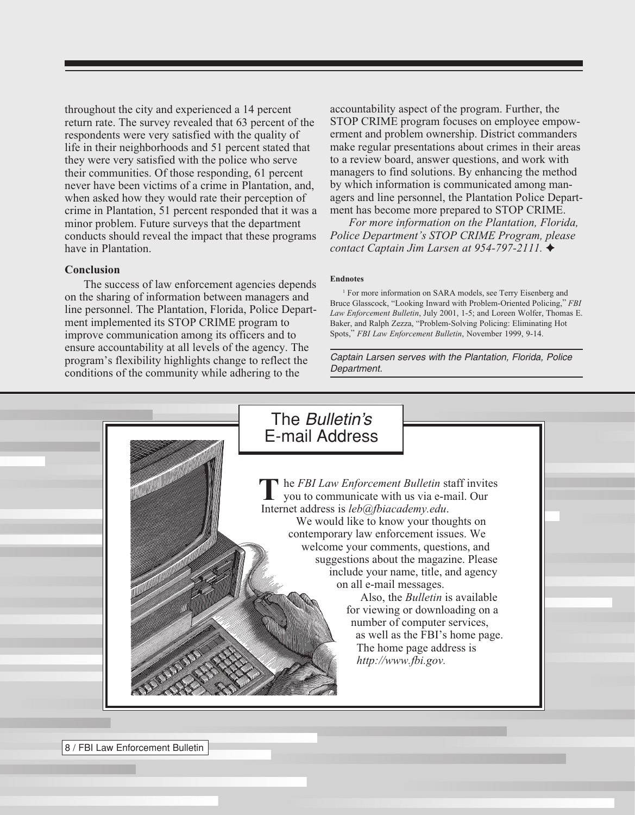throughout the city and experienced a 14 percent return rate. The survey revealed that 63 percent of the respondents were very satisfied with the quality of life in their neighborhoods and 51 percent stated that they were very satisfied with the police who serve their communities. Of those responding, 61 percent never have been victims of a crime in Plantation, and, when asked how they would rate their perception of crime in Plantation, 51 percent responded that it was a minor problem. Future surveys that the department conducts should reveal the impact that these programs have in Plantation.

#### **Conclusion**

The success of law enforcement agencies depends on the sharing of information between managers and line personnel. The Plantation, Florida, Police Department implemented its STOP CRIME program to improve communication among its officers and to ensure accountability at all levels of the agency. The program's flexibility highlights change to reflect the conditions of the community while adhering to the

accountability aspect of the program. Further, the STOP CRIME program focuses on employee empowerment and problem ownership. District commanders make regular presentations about crimes in their areas to a review board, answer questions, and work with managers to find solutions. By enhancing the method by which information is communicated among managers and line personnel, the Plantation Police Department has become more prepared to STOP CRIME.

*For more information on the Plantation, Florida, Police Department's STOP CRIME Program, please contact Captain Jim Larsen at 954-797-2111.*

#### **Endnotes**

<sup>1</sup> For more information on SARA models, see Terry Eisenberg and Bruce Glasscock, "Looking Inward with Problem-Oriented Policing," *FBI Law Enforcement Bulletin*, July 2001, 1-5; and Loreen Wolfer, Thomas E. Baker, and Ralph Zezza, "Problem-Solving Policing: Eliminating Hot Spots," *FBI Law Enforcement Bulletin*, November 1999, 9-14.

Captain Larsen serves with the Plantation, Florida, Police Department.



8 / FBI Law Enforcement Bulletin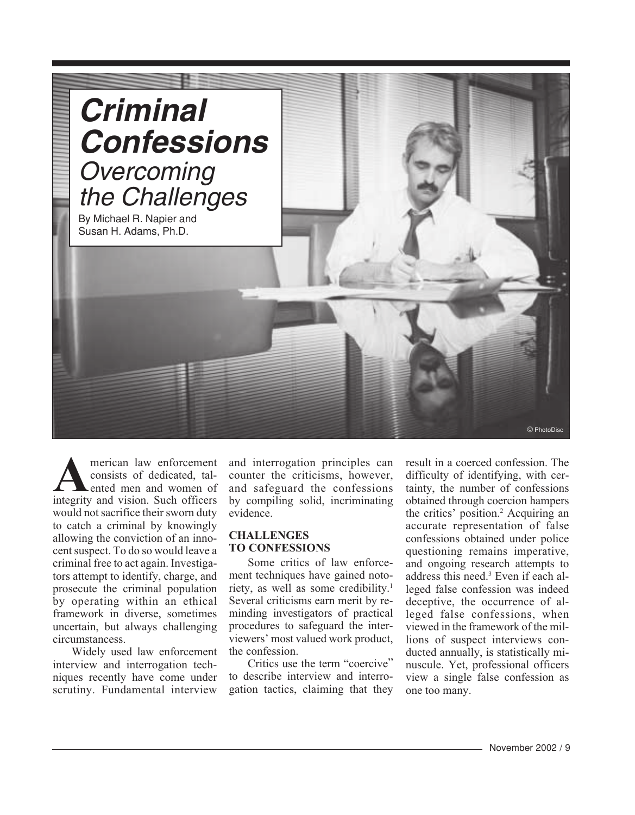

merican law enforcement consists of dedicated, talented men and women of **A merican** law enforcement<br>
consists of dedicated, tal-<br>
ented men and women of<br>
integrity and vision. Such officers would not sacrifice their sworn duty to catch a criminal by knowingly allowing the conviction of an innocent suspect. To do so would leave a criminal free to act again. Investigators attempt to identify, charge, and prosecute the criminal population by operating within an ethical framework in diverse, sometimes uncertain, but always challenging circumstancess.

Widely used law enforcement interview and interrogation techniques recently have come under scrutiny. Fundamental interview

and interrogation principles can counter the criticisms, however, and safeguard the confessions by compiling solid, incriminating evidence.

#### **CHALLENGES TO CONFESSIONS**

Some critics of law enforcement techniques have gained notoriety, as well as some credibility.<sup>1</sup> Several criticisms earn merit by reminding investigators of practical procedures to safeguard the interviewers' most valued work product, the confession.

Critics use the term "coercive" to describe interview and interrogation tactics, claiming that they result in a coerced confession. The difficulty of identifying, with certainty, the number of confessions obtained through coercion hampers the critics' position.<sup>2</sup> Acquiring an accurate representation of false confessions obtained under police questioning remains imperative, and ongoing research attempts to address this need.<sup>3</sup> Even if each alleged false confession was indeed deceptive, the occurrence of alleged false confessions, when viewed in the framework of the millions of suspect interviews conducted annually, is statistically minuscule. Yet, professional officers view a single false confession as one too many.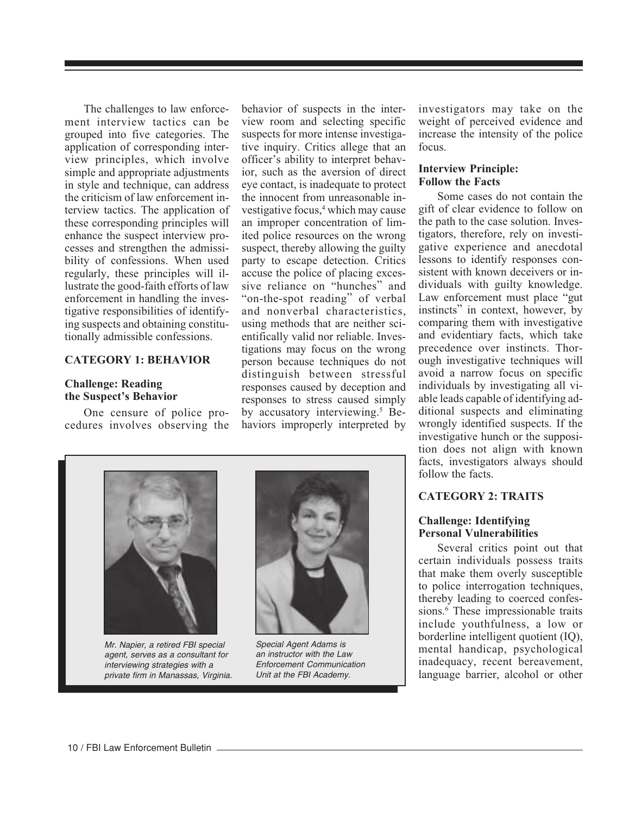The challenges to law enforcement interview tactics can be grouped into five categories. The application of corresponding interview principles, which involve simple and appropriate adjustments in style and technique, can address the criticism of law enforcement interview tactics. The application of these corresponding principles will enhance the suspect interview processes and strengthen the admissibility of confessions. When used regularly, these principles will illustrate the good-faith efforts of law enforcement in handling the investigative responsibilities of identifying suspects and obtaining constitutionally admissible confessions.

#### **CATEGORY 1: BEHAVIOR**

#### **Challenge: Reading the Suspect's Behavior**

One censure of police procedures involves observing the behavior of suspects in the interview room and selecting specific suspects for more intense investigative inquiry. Critics allege that an officer's ability to interpret behavior, such as the aversion of direct eye contact, is inadequate to protect the innocent from unreasonable investigative focus,<sup>4</sup> which may cause an improper concentration of limited police resources on the wrong suspect, thereby allowing the guilty party to escape detection. Critics accuse the police of placing excessive reliance on "hunches" and "on-the-spot reading" of verbal and nonverbal characteristics, using methods that are neither scientifically valid nor reliable. Investigations may focus on the wrong person because techniques do not distinguish between stressful responses caused by deception and responses to stress caused simply by accusatory interviewing.<sup>5</sup> Behaviors improperly interpreted by



Mr. Napier, a retired FBI special agent, serves as a consultant for interviewing strategies with a private firm in Manassas, Virginia.



Special Agent Adams is an instructor with the Law Enforcement Communication Unit at the FBI Academy.

investigators may take on the weight of perceived evidence and increase the intensity of the police focus.

#### **Interview Principle: Follow the Facts**

Some cases do not contain the gift of clear evidence to follow on the path to the case solution. Investigators, therefore, rely on investigative experience and anecdotal lessons to identify responses consistent with known deceivers or individuals with guilty knowledge. Law enforcement must place "gut instincts" in context, however, by comparing them with investigative and evidentiary facts, which take precedence over instincts. Thorough investigative techniques will avoid a narrow focus on specific individuals by investigating all viable leads capable of identifying additional suspects and eliminating wrongly identified suspects. If the investigative hunch or the supposition does not align with known facts, investigators always should follow the facts.

#### **CATEGORY 2: TRAITS**

#### **Challenge: Identifying Personal Vulnerabilities**

Several critics point out that certain individuals possess traits that make them overly susceptible to police interrogation techniques, thereby leading to coerced confessions.<sup>6</sup> These impressionable traits include youthfulness, a low or borderline intelligent quotient (IQ), mental handicap, psychological inadequacy, recent bereavement, language barrier, alcohol or other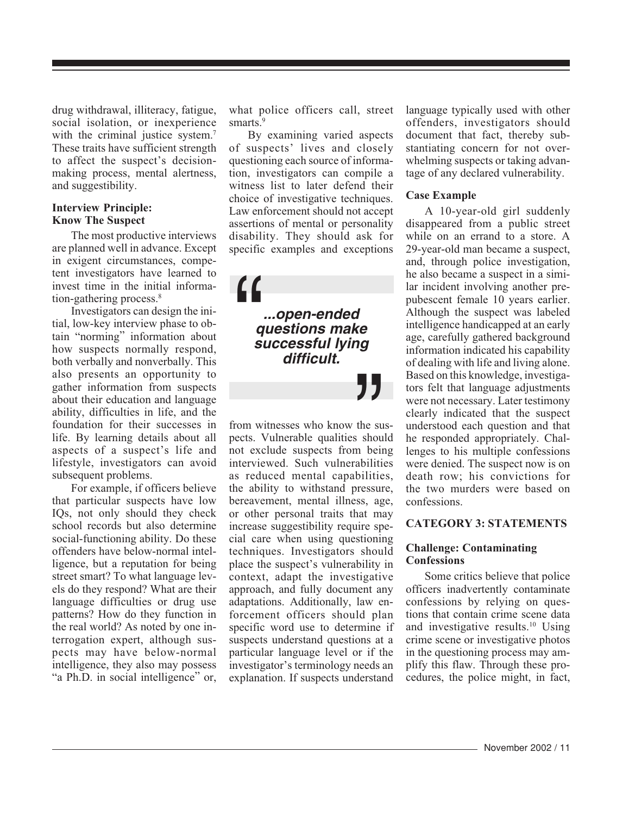drug withdrawal, illiteracy, fatigue, social isolation, or inexperience with the criminal justice system.<sup>7</sup> These traits have sufficient strength to affect the suspect's decisionmaking process, mental alertness, and suggestibility.

#### **Interview Principle: Know The Suspect**

The most productive interviews are planned well in advance. Except in exigent circumstances, competent investigators have learned to invest time in the initial information-gathering process.<sup>8</sup>

Investigators can design the initial, low-key interview phase to obtain "norming" information about how suspects normally respond, both verbally and nonverbally. This also presents an opportunity to gather information from suspects about their education and language ability, difficulties in life, and the foundation for their successes in life. By learning details about all aspects of a suspect's life and lifestyle, investigators can avoid subsequent problems.

For example, if officers believe that particular suspects have low IQs, not only should they check school records but also determine social-functioning ability. Do these offenders have below-normal intelligence, but a reputation for being street smart? To what language levels do they respond? What are their language difficulties or drug use patterns? How do they function in the real world? As noted by one interrogation expert, although suspects may have below-normal intelligence, they also may possess "a Ph.D. in social intelligence" or, what police officers call, street smarts.<sup>9</sup>

By examining varied aspects of suspects' lives and closely questioning each source of information, investigators can compile a witness list to later defend their choice of investigative techniques. Law enforcement should not accept assertions of mental or personality disability. They should ask for specific examples and exceptions

### $\begin{bmatrix} 1 \\ 1 \\ q \end{bmatrix}$ **...open-ended questions make successful lying difficult.**

from witnesses who know the suspects. Vulnerable qualities should not exclude suspects from being interviewed. Such vulnerabilities as reduced mental capabilities, the ability to withstand pressure, bereavement, mental illness, age, or other personal traits that may increase suggestibility require special care when using questioning techniques. Investigators should place the suspect's vulnerability in context, adapt the investigative approach, and fully document any adaptations. Additionally, law enforcement officers should plan specific word use to determine if suspects understand questions at a particular language level or if the investigator's terminology needs an explanation. If suspects understand **77**<br>the sus:<br>is should<br>abilities

language typically used with other offenders, investigators should document that fact, thereby substantiating concern for not overwhelming suspects or taking advantage of any declared vulnerability.

#### **Case Example**

A 10-year-old girl suddenly disappeared from a public street while on an errand to a store. A 29-year-old man became a suspect, and, through police investigation, he also became a suspect in a similar incident involving another prepubescent female 10 years earlier. Although the suspect was labeled intelligence handicapped at an early age, carefully gathered background information indicated his capability of dealing with life and living alone. Based on this knowledge, investigators felt that language adjustments were not necessary. Later testimony clearly indicated that the suspect understood each question and that he responded appropriately. Challenges to his multiple confessions were denied. The suspect now is on death row; his convictions for the two murders were based on confessions.

#### **CATEGORY 3: STATEMENTS**

#### **Challenge: Contaminating Confessions**

Some critics believe that police officers inadvertently contaminate confessions by relying on questions that contain crime scene data and investigative results.<sup>10</sup> Using crime scene or investigative photos in the questioning process may amplify this flaw. Through these procedures, the police might, in fact,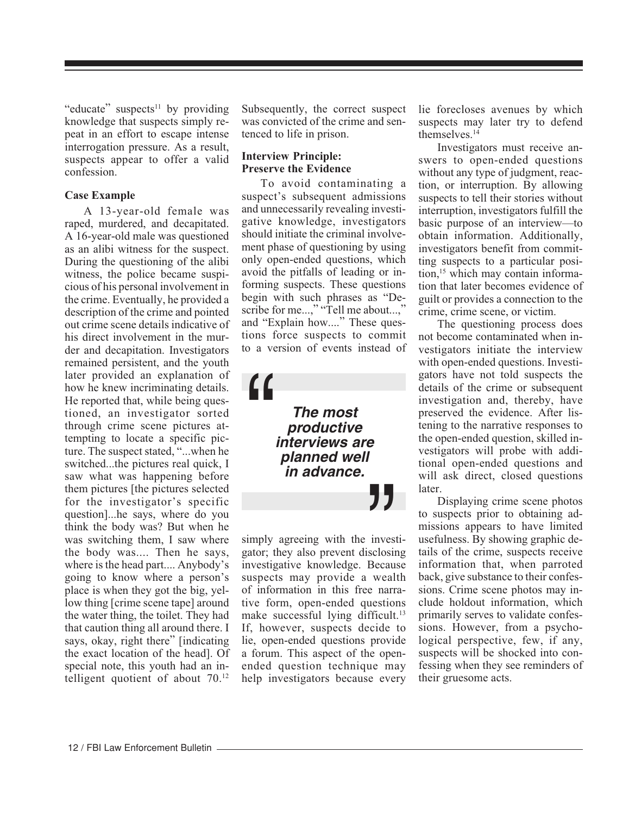"educate" suspects<sup>11</sup> by providing knowledge that suspects simply repeat in an effort to escape intense interrogation pressure. As a result, suspects appear to offer a valid confession.

#### **Case Example**

A 13-year-old female was raped, murdered, and decapitated. A 16-year-old male was questioned as an alibi witness for the suspect. During the questioning of the alibi witness, the police became suspicious of his personal involvement in the crime. Eventually, he provided a description of the crime and pointed out crime scene details indicative of his direct involvement in the murder and decapitation. Investigators remained persistent, and the youth later provided an explanation of how he knew incriminating details. He reported that, while being questioned, an investigator sorted through crime scene pictures attempting to locate a specific picture. The suspect stated, "...when he switched...the pictures real quick, I saw what was happening before them pictures [the pictures selected for the investigator's specific question]...he says, where do you think the body was? But when he was switching them, I saw where the body was.... Then he says, where is the head part.... Anybody's going to know where a person's place is when they got the big, yellow thing [crime scene tape] around the water thing, the toilet. They had that caution thing all around there. I says, okay, right there" [indicating the exact location of the head]. Of special note, this youth had an intelligent quotient of about 70.<sup>12</sup> Subsequently, the correct suspect was convicted of the crime and sentenced to life in prison.

#### **Interview Principle: Preserve the Evidence**

To avoid contaminating a suspect's subsequent admissions and unnecessarily revealing investigative knowledge, investigators should initiate the criminal involvement phase of questioning by using only open-ended questions, which avoid the pitfalls of leading or informing suspects. These questions begin with such phrases as "Describe for me...," "Tell me about...," and "Explain how...." These questions force suspects to commit to a version of events instead of

|<br>|}<br>|} **The most productive interviews are planned well in advance.**

"

simply agreeing with the investigator; they also prevent disclosing investigative knowledge. Because suspects may provide a wealth of information in this free narrative form, open-ended questions make successful lying difficult.<sup>13</sup> If, however, suspects decide to lie, open-ended questions provide a forum. This aspect of the openended question technique may help investigators because every lie forecloses avenues by which suspects may later try to defend themselves.<sup>14</sup>

Investigators must receive answers to open-ended questions without any type of judgment, reaction, or interruption. By allowing suspects to tell their stories without interruption, investigators fulfill the basic purpose of an interview—to obtain information. Additionally, investigators benefit from committing suspects to a particular position,<sup>15</sup> which may contain information that later becomes evidence of guilt or provides a connection to the crime, crime scene, or victim.

The questioning process does not become contaminated when investigators initiate the interview with open-ended questions. Investigators have not told suspects the details of the crime or subsequent investigation and, thereby, have preserved the evidence. After listening to the narrative responses to the open-ended question, skilled investigators will probe with additional open-ended questions and will ask direct, closed questions later.

Displaying crime scene photos to suspects prior to obtaining admissions appears to have limited usefulness. By showing graphic details of the crime, suspects receive information that, when parroted back, give substance to their confessions. Crime scene photos may include holdout information, which primarily serves to validate confessions. However, from a psychological perspective, few, if any, suspects will be shocked into confessing when they see reminders of their gruesome acts.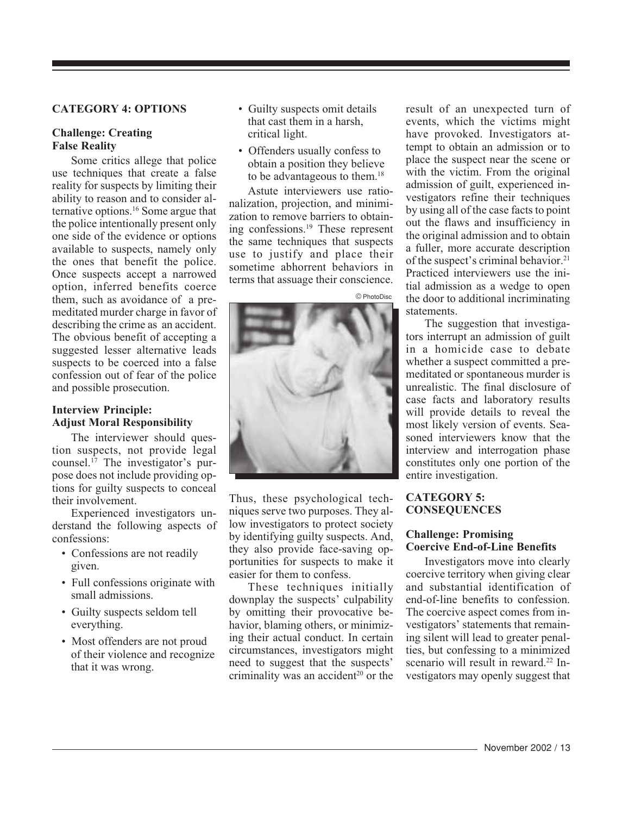#### **CATEGORY 4: OPTIONS**

#### **Challenge: Creating False Reality**

Some critics allege that police use techniques that create a false reality for suspects by limiting their ability to reason and to consider alternative options.16 Some argue that the police intentionally present only one side of the evidence or options available to suspects, namely only the ones that benefit the police. Once suspects accept a narrowed option, inferred benefits coerce them, such as avoidance of a premeditated murder charge in favor of describing the crime as an accident. The obvious benefit of accepting a suggested lesser alternative leads suspects to be coerced into a false confession out of fear of the police and possible prosecution.

#### **Interview Principle: Adjust Moral Responsibility**

The interviewer should question suspects, not provide legal counsel. $^{17}$  The investigator's purpose does not include providing options for guilty suspects to conceal their involvement.

Experienced investigators understand the following aspects of confessions:

- Confessions are not readily given.
- Full confessions originate with small admissions.
- Guilty suspects seldom tell everything.
- Most offenders are not proud of their violence and recognize that it was wrong.
- Guilty suspects omit details that cast them in a harsh, critical light.
- Offenders usually confess to obtain a position they believe to be advantageous to them.<sup>18</sup>

Astute interviewers use rationalization, projection, and minimization to remove barriers to obtaining confessions.<sup>19</sup> These represent the same techniques that suspects use to justify and place their sometime abhorrent behaviors in terms that assuage their conscience.



Thus, these psychological techniques serve two purposes. They allow investigators to protect society by identifying guilty suspects. And, they also provide face-saving opportunities for suspects to make it easier for them to confess.

These techniques initially downplay the suspects' culpability by omitting their provocative behavior, blaming others, or minimizing their actual conduct. In certain circumstances, investigators might need to suggest that the suspects' criminality was an accident<sup>20</sup> or the

result of an unexpected turn of events, which the victims might have provoked. Investigators attempt to obtain an admission or to place the suspect near the scene or with the victim. From the original admission of guilt, experienced investigators refine their techniques by using all of the case facts to point out the flaws and insufficiency in the original admission and to obtain a fuller, more accurate description of the suspect's criminal behavior.<sup>21</sup> Practiced interviewers use the initial admission as a wedge to open the door to additional incriminating statements.

The suggestion that investigators interrupt an admission of guilt in a homicide case to debate whether a suspect committed a premeditated or spontaneous murder is unrealistic. The final disclosure of case facts and laboratory results will provide details to reveal the most likely version of events. Seasoned interviewers know that the interview and interrogation phase constitutes only one portion of the entire investigation.

#### **CATEGORY 5: CONSEQUENCES**

#### **Challenge: Promising Coercive End-of-Line Benefits**

Investigators move into clearly coercive territory when giving clear and substantial identification of end-of-line benefits to confession. The coercive aspect comes from investigators' statements that remaining silent will lead to greater penalties, but confessing to a minimized scenario will result in reward.<sup>22</sup> Investigators may openly suggest that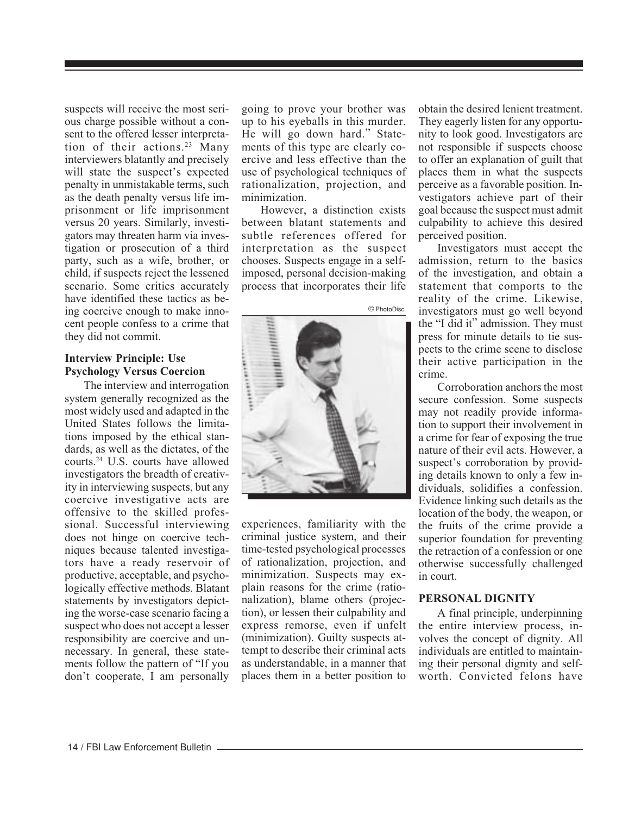suspects will receive the most serious charge possible without a consent to the offered lesser interpretation of their actions.<sup>23</sup> Many interviewers blatantly and precisely will state the suspect's expected penalty in unmistakable terms, such as the death penalty versus life imprisonment or life imprisonment versus 20 years. Similarly, investigators may threaten harm via investigation or prosecution of a third party, such as a wife, brother, or child, if suspects reject the lessened scenario. Some critics accurately have identified these tactics as being coercive enough to make innocent people confess to a crime that they did not commit.

#### **Interview Principle: Use Psychology Versus Coercion**

The interview and interrogation system generally recognized as the most widely used and adapted in the United States follows the limitations imposed by the ethical standards, as well as the dictates, of the courts.24 U.S. courts have allowed investigators the breadth of creativity in interviewing suspects, but any coercive investigative acts are offensive to the skilled professional. Successful interviewing does not hinge on coercive techniques because talented investigators have a ready reservoir of productive, acceptable, and psychologically effective methods. Blatant statements by investigators depicting the worse-case scenario facing a suspect who does not accept a lesser responsibility are coercive and unnecessary. In general, these statements follow the pattern of "If you don't cooperate, I am personally

going to prove your brother was up to his eyeballs in this murder. He will go down hard." Statements of this type are clearly coercive and less effective than the use of psychological techniques of rationalization, projection, and minimization.

However, a distinction exists between blatant statements and subtle references offered for interpretation as the suspect chooses. Suspects engage in a selfimposed, personal decision-making process that incorporates their life



experiences, familiarity with the criminal justice system, and their time-tested psychological processes of rationalization, projection, and minimization. Suspects may explain reasons for the crime (rationalization), blame others (projection), or lessen their culpability and express remorse, even if unfelt (minimization). Guilty suspects attempt to describe their criminal acts as understandable, in a manner that places them in a better position to

obtain the desired lenient treatment. They eagerly listen for any opportunity to look good. Investigators are not responsible if suspects choose to offer an explanation of guilt that places them in what the suspects perceive as a favorable position. Investigators achieve part of their goal because the suspect must admit culpability to achieve this desired perceived position.

Investigators must accept the admission, return to the basics of the investigation, and obtain a statement that comports to the reality of the crime. Likewise, investigators must go well beyond the "I did it" admission. They must press for minute details to tie suspects to the crime scene to disclose their active participation in the crime.

Corroboration anchors the most secure confession. Some suspects may not readily provide information to support their involvement in a crime for fear of exposing the true nature of their evil acts. However, a suspect's corroboration by providing details known to only a few individuals, solidifies a confession. Evidence linking such details as the location of the body, the weapon, or the fruits of the crime provide a superior foundation for preventing the retraction of a confession or one otherwise successfully challenged in court.

#### **PERSONAL DIGNITY**

A final principle, underpinning the entire interview process, involves the concept of dignity. All individuals are entitled to maintaining their personal dignity and selfworth. Convicted felons have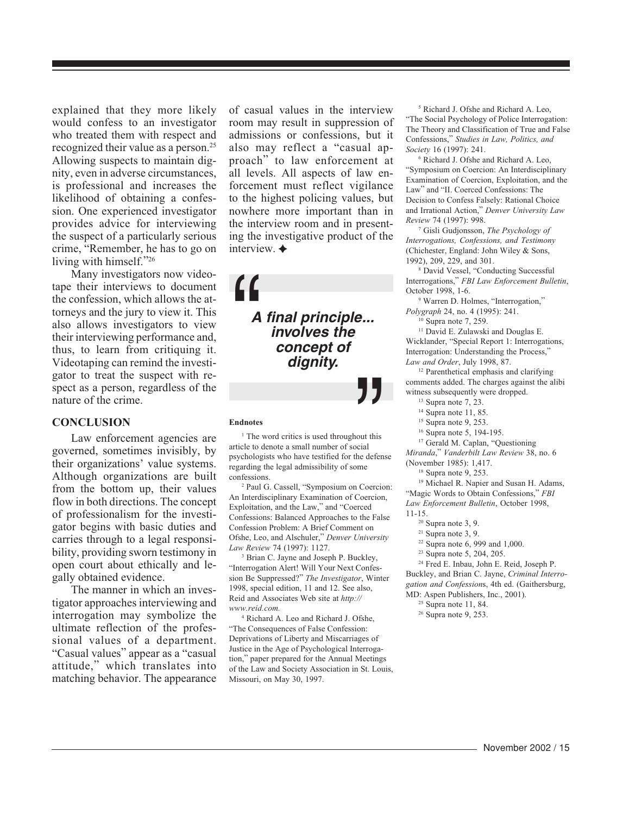explained that they more likely would confess to an investigator who treated them with respect and recognized their value as a person.<sup>25</sup> Allowing suspects to maintain dignity, even in adverse circumstances, is professional and increases the likelihood of obtaining a confession. One experienced investigator provides advice for interviewing the suspect of a particularly serious crime, "Remember, he has to go on living with himself."<sup>26</sup>

Many investigators now videotape their interviews to document the confession, which allows the attorneys and the jury to view it. This also allows investigators to view their interviewing performance and, thus, to learn from critiquing it. Videotaping can remind the investigator to treat the suspect with respect as a person, regardless of the nature of the crime.

#### **CONCLUSION**

Law enforcement agencies are governed, sometimes invisibly, by their organizations' value systems. Although organizations are built from the bottom up, their values flow in both directions. The concept of professionalism for the investigator begins with basic duties and carries through to a legal responsibility, providing sworn testimony in open court about ethically and legally obtained evidence.

The manner in which an investigator approaches interviewing and interrogation may symbolize the ultimate reflection of the professional values of a department. "Casual values" appear as a "casual attitude," which translates into matching behavior. The appearance

of casual values in the interview room may result in suppression of admissions or confessions, but it also may reflect a "casual approach" to law enforcement at all levels. All aspects of law enforcement must reflect vigilance to the highest policing values, but nowhere more important than in the interview room and in presenting the investigative product of the interview.  $\triangleleft$ 

### **A final principle... involves the concept of dignity. "**<br>"

**Endnotes**

<sup>1</sup> The word critics is used throughout this article to denote a small number of social psychologists who have testified for the defense regarding the legal admissibility of some confessions. out this<br>cial<br>he defense<br>me

2 Paul G. Cassell, "Symposium on Coercion: An Interdisciplinary Examination of Coercion, Exploitation, and the Law," and "Coerced Confessions: Balanced Approaches to the False Confession Problem: A Brief Comment on Ofshe, Leo, and Alschuler," *Denver University Law Review* 74 (1997): 1127.

3 Brian C. Jayne and Joseph P. Buckley, "Interrogation Alert! Will Your Next Confession Be Suppressed?" *The Investigator*, Winter 1998, special edition, 11 and 12. See also, Reid and Associates Web site at *http:// www.reid.com.*

4 Richard A. Leo and Richard J. Ofshe, "The Consequences of False Confession: Deprivations of Liberty and Miscarriages of Justice in the Age of Psychological Interrogation," paper prepared for the Annual Meetings of the Law and Society Association in St. Louis, Missouri, on May 30, 1997.

5 Richard J. Ofshe and Richard A. Leo, "The Social Psychology of Police Interrogation: The Theory and Classification of True and False Confessions," *Studies in Law, Politics, and Society* 16 (1997): 241.

6 Richard J. Ofshe and Richard A. Leo, "Symposium on Coercion: An Interdisciplinary Examination of Coercion, Exploitation, and the Law" and "II. Coerced Confessions: The Decision to Confess Falsely: Rational Choice and Irrational Action," *Denver University Law Review* 74 (1997): 998.

7 Gisli Gudjonsson, *The Psychology of Interrogations, Confessions, and Testimony* (Chichester, England: John Wiley & Sons, 1992), 209, 229, and 301.

8 David Vessel, "Conducting Successful Interrogations," *FBI Law Enforcement Bulletin*, October 1998, 1-6.

9 Warren D. Holmes, "Interrogation," *Polygraph* 24, no. 4 (1995): 241.

Supra note 7, 259.

<sup>11</sup> David E. Zulawski and Douglas E. Wicklander, "Special Report 1: Interrogations, Interrogation: Understanding the Process," *Law and Order*, July 1998, 87.

<sup>12</sup> Parenthetical emphasis and clarifying comments added. The charges against the alibi witness subsequently were dropped.

<sup>13</sup> Supra note 7, 23.

<sup>14</sup> Supra note 11, 85.

<sup>15</sup> Supra note 9, 253.

<sup>16</sup> Supra note 5, 194-195.

<sup>17</sup> Gerald M. Caplan, "Questioning

*Miranda*," *Vanderbilt Law Review* 38, no. 6 (November 1985): 1,417.

<sup>18</sup> Supra note 9, 253.

<sup>19</sup> Michael R. Napier and Susan H. Adams, "Magic Words to Obtain Confessions," *FBI Law Enforcement Bulletin*, October 1998, 11-15.

<sup>20</sup> Supra note 3, 9.

 $21$  Supra note 3, 9.

<sup>22</sup> Supra note 6, 999 and 1,000.

<sup>23</sup> Supra note 5, 204, 205.

<sup>24</sup> Fred E. Inbau, John E. Reid, Joseph P. Buckley, and Brian C. Jayne, *Criminal Interrogation and Confession*s, 4th ed. (Gaithersburg, MD: Aspen Publishers, Inc., 2001).

 $25$  Supra note 11, 84.

<sup>26</sup> Supra note 9, 253.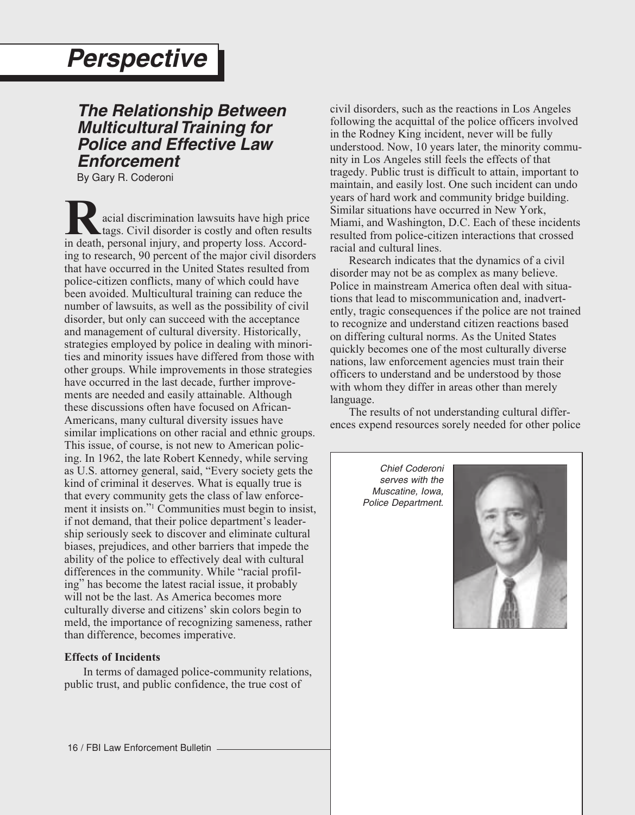# **Perspective**

### **The Relationship Between Multicultural Training for Police and Effective Law Enforcement**

By Gary R. Coderoni

acial discrimination lawsuits have high price **Laudieus**. Civil disorder is costly and often results in death, personal injury, and property loss. According to research, 90 percent of the major civil disorders that have occurred in the United States resulted from police-citizen conflicts, many of which could have been avoided. Multicultural training can reduce the number of lawsuits, as well as the possibility of civil disorder, but only can succeed with the acceptance and management of cultural diversity. Historically, strategies employed by police in dealing with minorities and minority issues have differed from those with other groups. While improvements in those strategies have occurred in the last decade, further improvements are needed and easily attainable. Although these discussions often have focused on African-Americans, many cultural diversity issues have similar implications on other racial and ethnic groups. This issue, of course, is not new to American policing. In 1962, the late Robert Kennedy, while serving as U.S. attorney general, said, "Every society gets the kind of criminal it deserves. What is equally true is that every community gets the class of law enforcement it insists on."<sup>1</sup> Communities must begin to insist, if not demand, that their police department's leadership seriously seek to discover and eliminate cultural biases, prejudices, and other barriers that impede the ability of the police to effectively deal with cultural differences in the community. While "racial profiling" has become the latest racial issue, it probably will not be the last. As America becomes more culturally diverse and citizens' skin colors begin to meld, the importance of recognizing sameness, rather than difference, becomes imperative.

#### **Effects of Incidents**

In terms of damaged police-community relations, public trust, and public confidence, the true cost of

civil disorders, such as the reactions in Los Angeles following the acquittal of the police officers involved in the Rodney King incident, never will be fully understood. Now, 10 years later, the minority community in Los Angeles still feels the effects of that tragedy. Public trust is difficult to attain, important to maintain, and easily lost. One such incident can undo years of hard work and community bridge building. Similar situations have occurred in New York, Miami, and Washington, D.C. Each of these incidents resulted from police-citizen interactions that crossed racial and cultural lines.

Research indicates that the dynamics of a civil disorder may not be as complex as many believe. Police in mainstream America often deal with situations that lead to miscommunication and, inadvertently, tragic consequences if the police are not trained to recognize and understand citizen reactions based on differing cultural norms. As the United States quickly becomes one of the most culturally diverse nations, law enforcement agencies must train their officers to understand and be understood by those with whom they differ in areas other than merely language.

The results of not understanding cultural differences expend resources sorely needed for other police

> Chief Coderoni serves with the Muscatine, Iowa, Police Department.

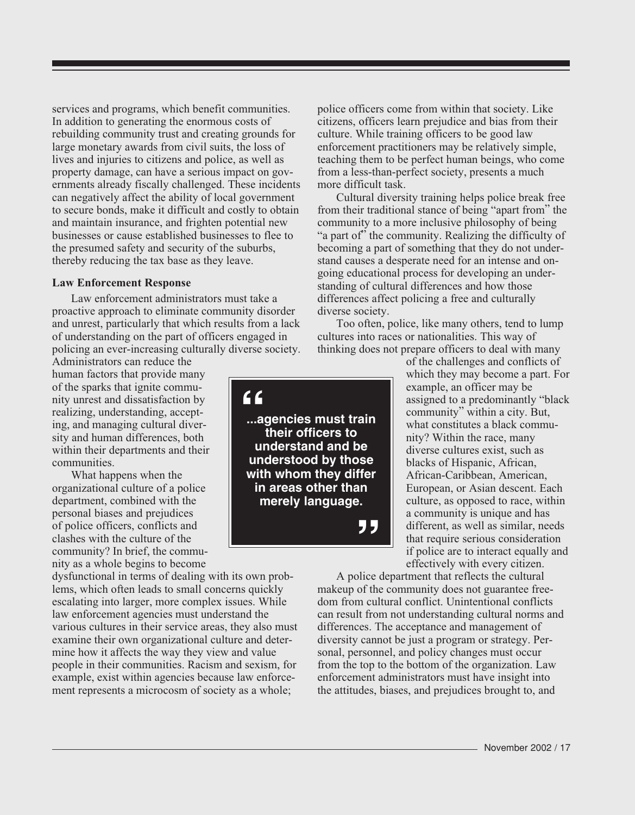services and programs, which benefit communities. In addition to generating the enormous costs of rebuilding community trust and creating grounds for large monetary awards from civil suits, the loss of lives and injuries to citizens and police, as well as property damage, can have a serious impact on governments already fiscally challenged. These incidents can negatively affect the ability of local government to secure bonds, make it difficult and costly to obtain and maintain insurance, and frighten potential new businesses or cause established businesses to flee to the presumed safety and security of the suburbs, thereby reducing the tax base as they leave.

#### **Law Enforcement Response**

Law enforcement administrators must take a proactive approach to eliminate community disorder and unrest, particularly that which results from a lack of understanding on the part of officers engaged in policing an ever-increasing culturally diverse society.

Administrators can reduce the human factors that provide many of the sparks that ignite community unrest and dissatisfaction by realizing, understanding, accepting, and managing cultural diversity and human differences, both within their departments and their communities.

What happens when the organizational culture of a police department, combined with the personal biases and prejudices of police officers, conflicts and clashes with the culture of the community? In brief, the community as a whole begins to become

dysfunctional in terms of dealing with its own problems, which often leads to small concerns quickly escalating into larger, more complex issues. While law enforcement agencies must understand the various cultures in their service areas, they also must examine their own organizational culture and determine how it affects the way they view and value people in their communities. Racism and sexism, for example, exist within agencies because law enforcement represents a microcosm of society as a whole;

police officers come from within that society. Like citizens, officers learn prejudice and bias from their culture. While training officers to be good law enforcement practitioners may be relatively simple, teaching them to be perfect human beings, who come from a less-than-perfect society, presents a much more difficult task.

Cultural diversity training helps police break free from their traditional stance of being "apart from" the community to a more inclusive philosophy of being "a part of" the community. Realizing the difficulty of becoming a part of something that they do not understand causes a desperate need for an intense and ongoing educational process for developing an understanding of cultural differences and how those differences affect policing a free and culturally diverse society.

Too often, police, like many others, tend to lump cultures into races or nationalities. This way of thinking does not prepare officers to deal with many



of the challenges and conflicts of which they may become a part. For example, an officer may be assigned to a predominantly "black community" within a city. But, what constitutes a black community? Within the race, many diverse cultures exist, such as blacks of Hispanic, African, African-Caribbean, American, European, or Asian descent. Each culture, as opposed to race, within a community is unique and has different, as well as similar, needs that require serious consideration if police are to interact equally and effectively with every citizen.

A police department that reflects the cultural makeup of the community does not guarantee freedom from cultural conflict. Unintentional conflicts can result from not understanding cultural norms and differences. The acceptance and management of diversity cannot be just a program or strategy. Personal, personnel, and policy changes must occur from the top to the bottom of the organization. Law enforcement administrators must have insight into the attitudes, biases, and prejudices brought to, and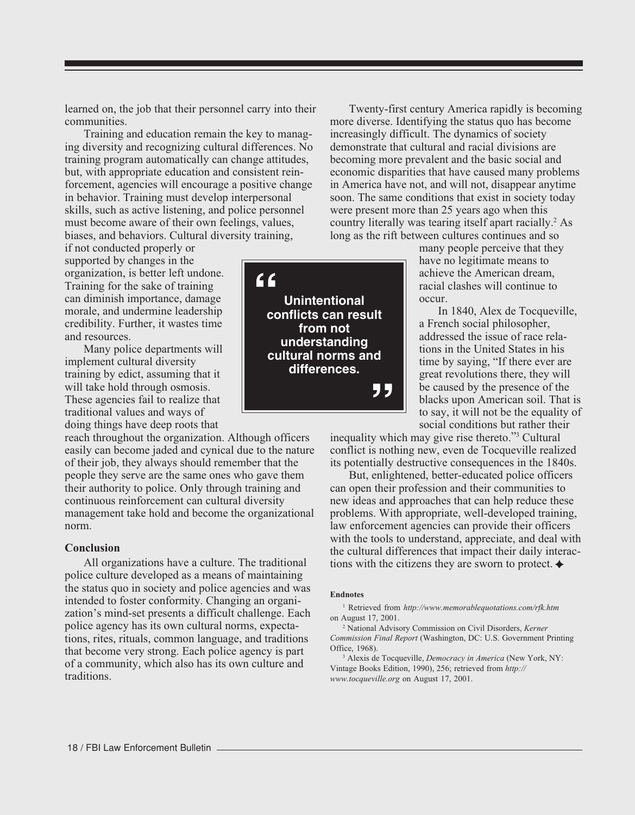learned on, the job that their personnel carry into their communities.

Training and education remain the key to managing diversity and recognizing cultural differences. No training program automatically can change attitudes, but, with appropriate education and consistent reinforcement, agencies will encourage a positive change in behavior. Training must develop interpersonal skills, such as active listening, and police personnel must become aware of their own feelings, values, biases, and behaviors. Cultural diversity training,

if not conducted properly or supported by changes in the organization, is better left undone. Training for the sake of training can diminish importance, damage morale, and undermine leadership credibility. Further, it wastes time and resources.

Many police departments will implement cultural diversity training by edict, assuming that it will take hold through osmosis. These agencies fail to realize that traditional values and ways of doing things have deep roots that

reach throughout the organization. Although officers easily can become jaded and cynical due to the nature of their job, they always should remember that the people they serve are the same ones who gave them their authority to police. Only through training and continuous reinforcement can cultural diversity management take hold and become the organizational norm.

#### **Conclusion**

All organizations have a culture. The traditional police culture developed as a means of maintaining the status quo in society and police agencies and was intended to foster conformity. Changing an organization's mind-set presents a difficult challenge. Each police agency has its own cultural norms, expectations, rites, rituals, common language, and traditions that become very strong. Each police agency is part of a community, which also has its own culture and traditions.



Twenty-first century America rapidly is becoming more diverse. Identifying the status quo has become increasingly difficult. The dynamics of society demonstrate that cultural and racial divisions are becoming more prevalent and the basic social and economic disparities that have caused many problems in America have not, and will not, disappear anytime soon. The same conditions that exist in society today were present more than 25 years ago when this country literally was tearing itself apart racially.<sup>2</sup> As long as the rift between cultures continues and so

> many people perceive that they have no legitimate means to achieve the American dream, racial clashes will continue to occur.

In 1840, Alex de Tocqueville, a French social philosopher, addressed the issue of race relations in the United States in his time by saying, "If there ever are great revolutions there, they will be caused by the presence of the blacks upon American soil. That is to say, it will not be the equality of social conditions but rather their

inequality which may give rise thereto."<sup>3</sup> Cultural conflict is nothing new, even de Tocqueville realized its potentially destructive consequences in the 1840s.

But, enlightened, better-educated police officers can open their profession and their communities to new ideas and approaches that can help reduce these problems. With appropriate, well-developed training, law enforcement agencies can provide their officers with the tools to understand, appreciate, and deal with the cultural differences that impact their daily interactions with the citizens they are sworn to protect.  $\triangleleft$ 

#### **Endnotes**

1 Retrieved from *http://www.memorablequotations.com/rfk.htm* on August 17, 2001.

2 National Advisory Commission on Civil Disorders, *Kerner Commission Final Report* (Washington, DC: U.S. Government Printing Office, 1968).

3 Alexis de Tocqueville, *Democracy in America* (New York, NY: Vintage Books Edition, 1990), 256; retrieved from *http:// www.tocqueville.org* on August 17, 2001.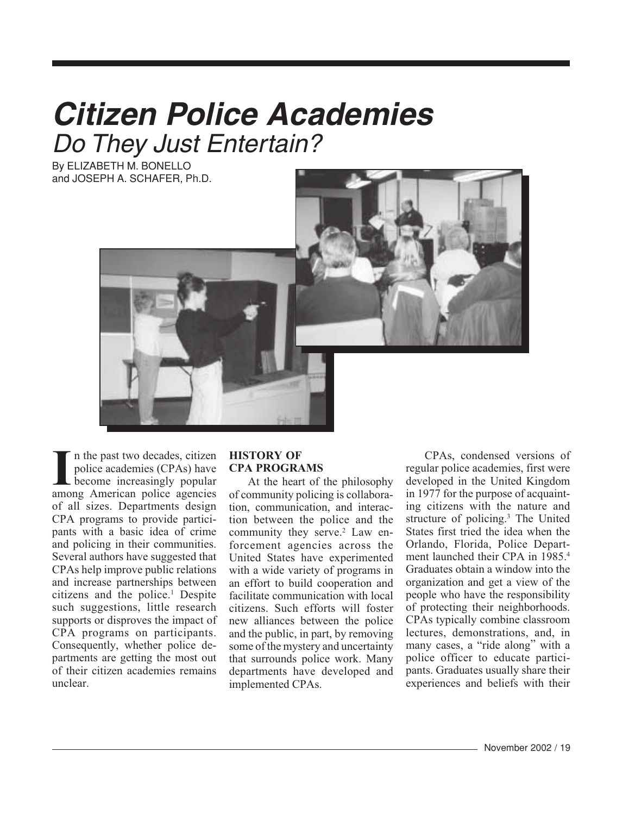# **Citizen Police Academies** Do They Just Entertain?

By ELIZABETH M. BONELLO and JOSEPH A. SCHAFER, Ph.D.



n the past two decades, citizen police academies (CPAs) have L become increasingly popular I
n the past two decades, citizen<br>
police academies (CPAs) have<br>
become increasingly popular<br>
among American police agencies of all sizes. Departments design CPA programs to provide participants with a basic idea of crime and policing in their communities. Several authors have suggested that CPAs help improve public relations and increase partnerships between citizens and the police.<sup>1</sup> Despite such suggestions, little research supports or disproves the impact of CPA programs on participants. Consequently, whether police departments are getting the most out of their citizen academies remains unclear.

#### **HISTORY OF CPA PROGRAMS**

At the heart of the philosophy of community policing is collaboration, communication, and interaction between the police and the community they serve.<sup>2</sup> Law enforcement agencies across the United States have experimented with a wide variety of programs in an effort to build cooperation and facilitate communication with local citizens. Such efforts will foster new alliances between the police and the public, in part, by removing some of the mystery and uncertainty that surrounds police work. Many departments have developed and implemented CPAs.

CPAs, condensed versions of regular police academies, first were developed in the United Kingdom in 1977 for the purpose of acquainting citizens with the nature and structure of policing.<sup>3</sup> The United States first tried the idea when the Orlando, Florida, Police Department launched their CPA in 1985.<sup>4</sup> Graduates obtain a window into the organization and get a view of the people who have the responsibility of protecting their neighborhoods. CPAs typically combine classroom lectures, demonstrations, and, in many cases, a "ride along" with a police officer to educate participants. Graduates usually share their experiences and beliefs with their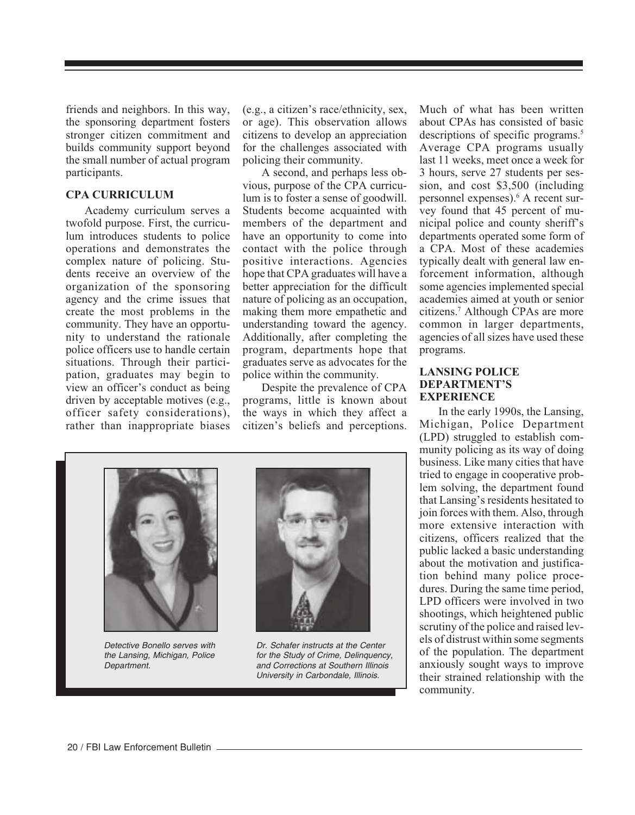friends and neighbors. In this way, the sponsoring department fosters stronger citizen commitment and builds community support beyond the small number of actual program participants.

#### **CPA CURRICULUM**

Academy curriculum serves a twofold purpose. First, the curriculum introduces students to police operations and demonstrates the complex nature of policing. Students receive an overview of the organization of the sponsoring agency and the crime issues that create the most problems in the community. They have an opportunity to understand the rationale police officers use to handle certain situations. Through their participation, graduates may begin to view an officer's conduct as being driven by acceptable motives (e.g., officer safety considerations), rather than inappropriate biases

(e.g., a citizen's race/ethnicity, sex, or age). This observation allows citizens to develop an appreciation for the challenges associated with policing their community.

A second, and perhaps less obvious, purpose of the CPA curriculum is to foster a sense of goodwill. Students become acquainted with members of the department and have an opportunity to come into contact with the police through positive interactions. Agencies hope that CPA graduates will have a better appreciation for the difficult nature of policing as an occupation, making them more empathetic and understanding toward the agency. Additionally, after completing the program, departments hope that graduates serve as advocates for the police within the community.

Despite the prevalence of CPA programs, little is known about the ways in which they affect a citizen's beliefs and perceptions.



Detective Bonello serves with the Lansing, Michigan, Police Department.



Dr. Schafer instructs at the Center for the Study of Crime, Delinquency, and Corrections at Southern Illinois University in Carbondale, Illinois.

Much of what has been written about CPAs has consisted of basic descriptions of specific programs.<sup>5</sup> Average CPA programs usually last 11 weeks, meet once a week for 3 hours, serve 27 students per session, and cost \$3,500 (including personnel expenses).<sup>6</sup> A recent survey found that 45 percent of municipal police and county sheriff's departments operated some form of a CPA. Most of these academies typically dealt with general law enforcement information, although some agencies implemented special academies aimed at youth or senior citizens.<sup>7</sup> Although CPAs are more common in larger departments, agencies of all sizes have used these programs.

#### **LANSING POLICE DEPARTMENT'S EXPERIENCE**

In the early 1990s, the Lansing, Michigan, Police Department (LPD) struggled to establish community policing as its way of doing business. Like many cities that have tried to engage in cooperative problem solving, the department found that Lansing's residents hesitated to join forces with them. Also, through more extensive interaction with citizens, officers realized that the public lacked a basic understanding about the motivation and justification behind many police procedures. During the same time period, LPD officers were involved in two shootings, which heightened public scrutiny of the police and raised levels of distrust within some segments of the population. The department anxiously sought ways to improve their strained relationship with the community.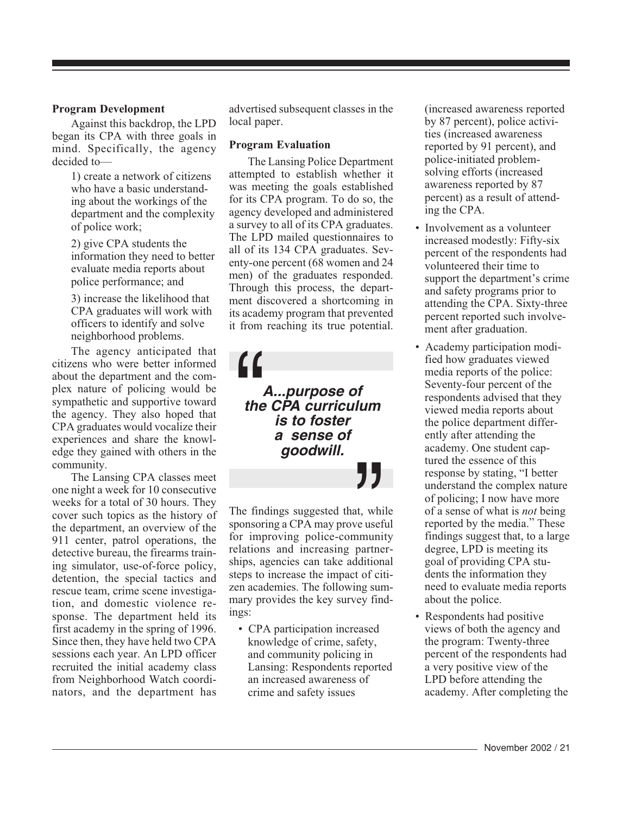#### **Program Development**

Against this backdrop, the LPD began its CPA with three goals in mind. Specifically, the agency decided to—

> 1) create a network of citizens who have a basic understanding about the workings of the department and the complexity of police work;

> 2) give CPA students the information they need to better evaluate media reports about police performance; and

3) increase the likelihood that CPA graduates will work with officers to identify and solve neighborhood problems.

The agency anticipated that citizens who were better informed about the department and the complex nature of policing would be sympathetic and supportive toward the agency. They also hoped that CPA graduates would vocalize their experiences and share the knowledge they gained with others in the community.

The Lansing CPA classes meet one night a week for 10 consecutive weeks for a total of 30 hours. They cover such topics as the history of the department, an overview of the 911 center, patrol operations, the detective bureau, the firearms training simulator, use-of-force policy, detention, the special tactics and rescue team, crime scene investigation, and domestic violence response. The department held its first academy in the spring of 1996. Since then, they have held two CPA sessions each year. An LPD officer recruited the initial academy class from Neighborhood Watch coordinators, and the department has advertised subsequent classes in the local paper.

#### **Program Evaluation**

The Lansing Police Department attempted to establish whether it was meeting the goals established for its CPA program. To do so, the agency developed and administered a survey to all of its CPA graduates. The LPD mailed questionnaires to all of its 134 CPA graduates. Seventy-one percent (68 women and 24 men) of the graduates responded. Through this process, the department discovered a shortcoming in its academy program that prevented it from reaching its true potential.

**A...purpose of the CPA curriculum is to foster a sense of goodwill.** |<br>|<br>|<br>| the

The findings suggested that, while sponsoring a CPA may prove useful for improving police-community relations and increasing partnerships, agencies can take additional steps to increase the impact of citizen academies. The following summary provides the key survey findings: **77**<br>tt, while<br>re usefu<br>partner

• CPA participation increased knowledge of crime, safety, and community policing in Lansing: Respondents reported an increased awareness of crime and safety issues

(increased awareness reported by 87 percent), police activities (increased awareness reported by 91 percent), and police-initiated problemsolving efforts (increased awareness reported by 87 percent) as a result of attending the CPA.

- Involvement as a volunteer increased modestly: Fifty-six percent of the respondents had volunteered their time to support the department's crime and safety programs prior to attending the CPA. Sixty-three percent reported such involvement after graduation.
- Academy participation modified how graduates viewed media reports of the police: Seventy-four percent of the respondents advised that they viewed media reports about the police department differently after attending the academy. One student captured the essence of this response by stating, "I better understand the complex nature of policing; I now have more of a sense of what is *not* being reported by the media." These findings suggest that, to a large degree, LPD is meeting its goal of providing CPA students the information they need to evaluate media reports about the police.
- Respondents had positive views of both the agency and the program: Twenty-three percent of the respondents had a very positive view of the LPD before attending the academy. After completing the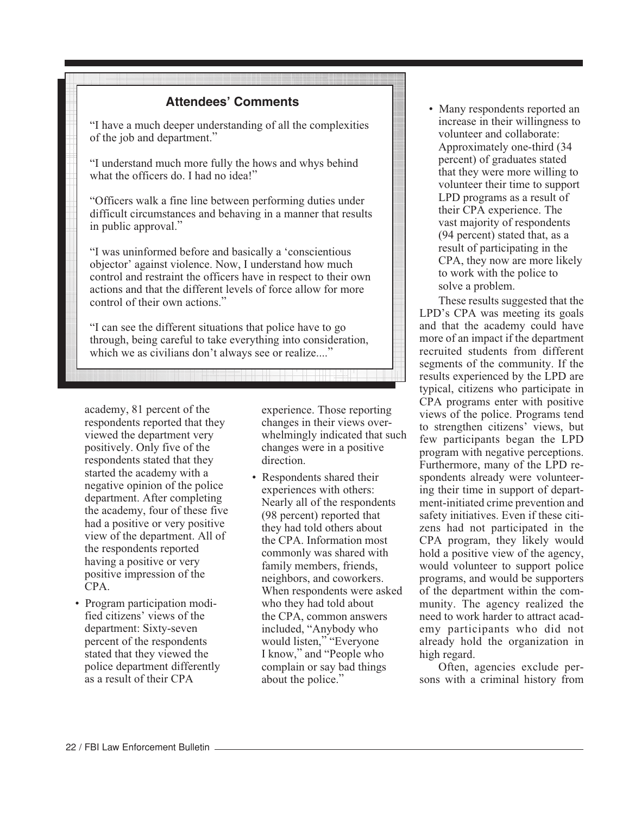### **Attendees' Comments**

"I have a much deeper understanding of all the complexities of the job and department."

"I understand much more fully the hows and whys behind what the officers do. I had no idea!"

"Officers walk a fine line between performing duties under difficult circumstances and behaving in a manner that results in public approval."

"I was uninformed before and basically a 'conscientious objector' against violence. Now, I understand how much control and restraint the officers have in respect to their own actions and that the different levels of force allow for more control of their own actions."

"I can see the different situations that police have to go through, being careful to take everything into consideration, which we as civilians don't always see or realize...."

academy, 81 percent of the respondents reported that they viewed the department very positively. Only five of the respondents stated that they started the academy with a negative opinion of the police department. After completing the academy, four of these five had a positive or very positive view of the department. All of the respondents reported having a positive or very positive impression of the CPA.

• Program participation modified citizens' views of the department: Sixty-seven percent of the respondents stated that they viewed the police department differently as a result of their CPA

experience. Those reporting changes in their views overwhelmingly indicated that such changes were in a positive direction.

• Respondents shared their experiences with others: Nearly all of the respondents (98 percent) reported that they had told others about the CPA. Information most commonly was shared with family members, friends, neighbors, and coworkers. When respondents were asked who they had told about the CPA, common answers included, "Anybody who would listen," "Everyone I know," and "People who complain or say bad things about the police."

• Many respondents reported an increase in their willingness to volunteer and collaborate: Approximately one-third (34 percent) of graduates stated that they were more willing to volunteer their time to support LPD programs as a result of their CPA experience. The vast majority of respondents (94 percent) stated that, as a result of participating in the CPA, they now are more likely to work with the police to solve a problem.

These results suggested that the LPD's CPA was meeting its goals and that the academy could have more of an impact if the department recruited students from different segments of the community. If the results experienced by the LPD are typical, citizens who participate in CPA programs enter with positive views of the police. Programs tend to strengthen citizens' views, but few participants began the LPD program with negative perceptions. Furthermore, many of the LPD respondents already were volunteering their time in support of department-initiated crime prevention and safety initiatives. Even if these citizens had not participated in the CPA program, they likely would hold a positive view of the agency, would volunteer to support police programs, and would be supporters of the department within the community. The agency realized the need to work harder to attract academy participants who did not already hold the organization in high regard.

Often, agencies exclude persons with a criminal history from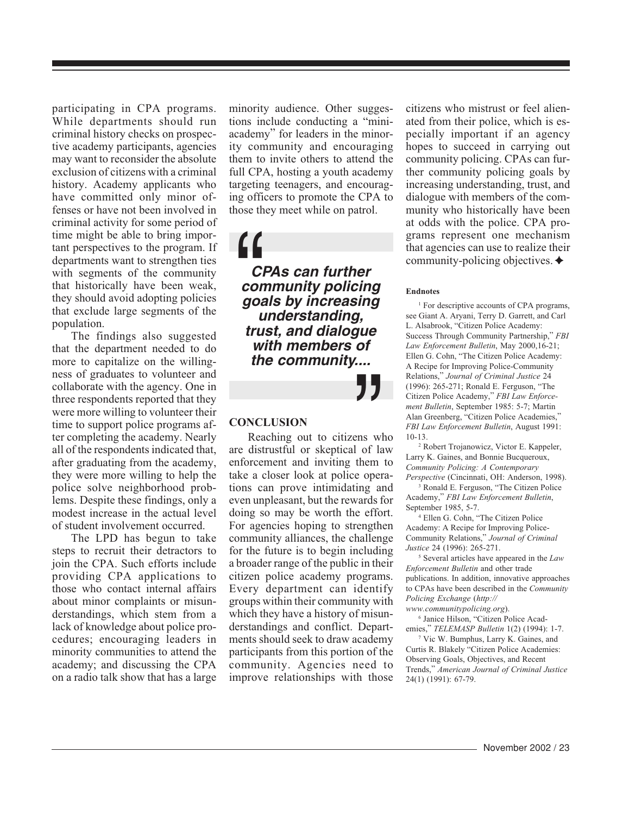participating in CPA programs. While departments should run criminal history checks on prospective academy participants, agencies may want to reconsider the absolute exclusion of citizens with a criminal history. Academy applicants who have committed only minor offenses or have not been involved in criminal activity for some period of time might be able to bring important perspectives to the program. If departments want to strengthen ties with segments of the community that historically have been weak, they should avoid adopting policies that exclude large segments of the population.

The findings also suggested that the department needed to do more to capitalize on the willingness of graduates to volunteer and collaborate with the agency. One in three respondents reported that they were more willing to volunteer their time to support police programs after completing the academy. Nearly all of the respondents indicated that, after graduating from the academy, they were more willing to help the police solve neighborhood problems. Despite these findings, only a modest increase in the actual level of student involvement occurred.

The LPD has begun to take steps to recruit their detractors to join the CPA. Such efforts include providing CPA applications to those who contact internal affairs about minor complaints or misunderstandings, which stem from a lack of knowledge about police procedures; encouraging leaders in minority communities to attend the academy; and discussing the CPA on a radio talk show that has a large minority audience. Other suggestions include conducting a "miniacademy" for leaders in the minority community and encouraging them to invite others to attend the full CPA, hosting a youth academy targeting teenagers, and encouraging officers to promote the CPA to those they meet while on patrol.

 $\begin{bmatrix} C & B \\ C & C \\ C & C \\ D & D \\ D & D \\ D & D \end{bmatrix}$ **CPAs can further community policing goals by increasing understanding, trust, and dialogue with members of the community....**

#### **CONCLUSION**

T<br> **CONCLUSION**<br>
Reaching out to citizens who<br>
are distrustful or skeptical of law<br>
enforcement and inviting them to Reaching out to citizens who are distrustful or skeptical of law take a closer look at police operations can prove intimidating and even unpleasant, but the rewards for doing so may be worth the effort. For agencies hoping to strengthen community alliances, the challenge for the future is to begin including a broader range of the public in their citizen police academy programs. Every department can identify groups within their community with which they have a history of misunderstandings and conflict. Departments should seek to draw academy participants from this portion of the community. Agencies need to improve relationships with those

citizens who mistrust or feel alienated from their police, which is especially important if an agency hopes to succeed in carrying out community policing. CPAs can further community policing goals by increasing understanding, trust, and dialogue with members of the community who historically have been at odds with the police. CPA programs represent one mechanism that agencies can use to realize their community-policing objectives.  $\triangleleft$ 

#### **Endnotes**

<sup>1</sup> For descriptive accounts of CPA programs, see Giant A. Aryani, Terry D. Garrett, and Carl L. Alsabrook, "Citizen Police Academy: Success Through Community Partnership," *FBI Law Enforcement Bulletin*, May 2000,16-21; Ellen G. Cohn, "The Citizen Police Academy: A Recipe for Improving Police-Community Relations," *Journal of Criminal Justice* 24 (1996): 265-271; Ronald E. Ferguson, "The Citizen Police Academy," *FBI Law Enforcement Bulletin*, September 1985: 5-7; Martin Alan Greenberg, "Citizen Police Academies," *FBI Law Enforcement Bulletin*, August 1991: 10-13.

2 Robert Trojanowicz, Victor E. Kappeler, Larry K. Gaines, and Bonnie Bucqueroux, *Community Policing: A Contemporary Perspective* (Cincinnati, OH: Anderson, 1998).

3 Ronald E. Ferguson, "The Citizen Police Academy," *FBI Law Enforcement Bulletin*, September 1985, 5-7.

4 Ellen G. Cohn, "The Citizen Police Academy: A Recipe for Improving Police-Community Relations," *Journal of Criminal Justice* 24 (1996): 265-271.

5 Several articles have appeared in the *Law Enforcement Bulletin* and other trade publications. In addition, innovative approaches to CPAs have been described in the *Community Policing Exchange* (*http://*

*www.communitypolicing.org*).

6 Janice Hilson, "Citizen Police Academies," *TELEMASP Bulletin* 1(2) (1994): 1-7.

7 Vic W. Bumphus, Larry K. Gaines, and Curtis R. Blakely "Citizen Police Academies: Observing Goals, Objectives, and Recent Trends," *American Journal of Criminal Justice* 24(1) (1991): 67-79.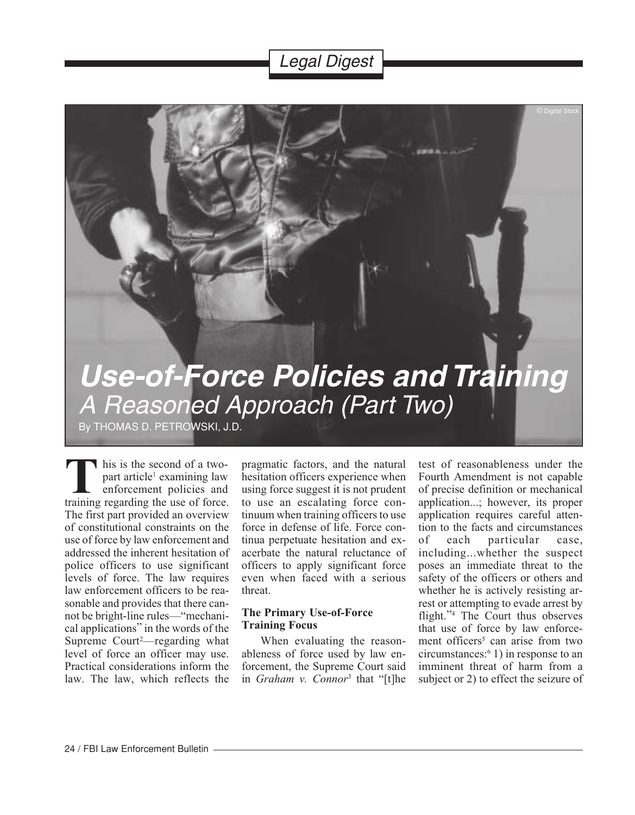Legal Digest



his is the second of a twopart article<sup>1</sup> examining law enforcement policies and This is the second of a two-<br>part article<sup>1</sup> examining law<br>enforcement policies and<br>training regarding the use of force. The first part provided an overview of constitutional constraints on the use of force by law enforcement and addressed the inherent hesitation of police officers to use significant levels of force. The law requires law enforcement officers to be reasonable and provides that there cannot be bright-line rules—"mechanical applications" in the words of the Supreme Court<sup>2</sup>—regarding what level of force an officer may use. Practical considerations inform the law. The law, which reflects the

pragmatic factors, and the natural hesitation officers experience when using force suggest it is not prudent to use an escalating force continuum when training officers to use force in defense of life. Force continua perpetuate hesitation and exacerbate the natural reluctance of officers to apply significant force even when faced with a serious threat.

#### **The Primary Use-of-Force Training Focus**

When evaluating the reasonableness of force used by law enforcement, the Supreme Court said in *Graham v. Connor*<sup>3</sup> that "[t]he

test of reasonableness under the Fourth Amendment is not capable of precise definition or mechanical application...; however, its proper application requires careful attention to the facts and circumstances of each particular case, including...whether the suspect poses an immediate threat to the safety of the officers or others and whether he is actively resisting arrest or attempting to evade arrest by flight."<sup>4</sup> The Court thus observes that use of force by law enforcement officers<sup>5</sup> can arise from two circumstances:<sup>6</sup> 1) in response to an imminent threat of harm from a subject or 2) to effect the seizure of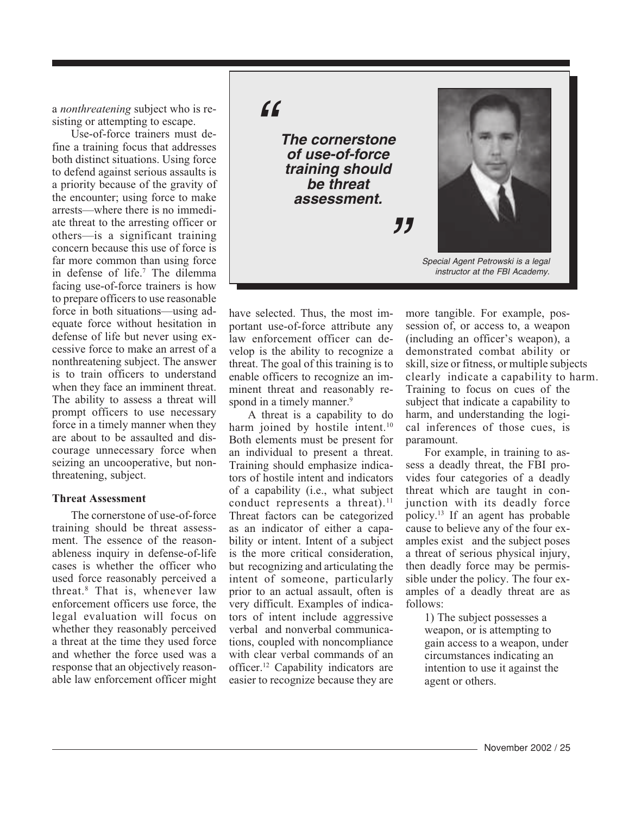a *nonthreatening* subject who is resisting or attempting to escape.

Use-of-force trainers must define a training focus that addresses both distinct situations. Using force to defend against serious assaults is a priority because of the gravity of the encounter; using force to make arrests—where there is no immediate threat to the arresting officer or others—is a significant training concern because this use of force is far more common than using force in defense of life.<sup>7</sup> The dilemma facing use-of-force trainers is how to prepare officers to use reasonable force in both situations—using adequate force without hesitation in defense of life but never using excessive force to make an arrest of a nonthreatening subject. The answer is to train officers to understand when they face an imminent threat. The ability to assess a threat will prompt officers to use necessary force in a timely manner when they are about to be assaulted and discourage unnecessary force when seizing an uncooperative, but nonthreatening, subject.

#### **Threat Assessment**

The cornerstone of use-of-force training should be threat assessment. The essence of the reasonableness inquiry in defense-of-life cases is whether the officer who used force reasonably perceived a threat.<sup>8</sup> That is, whenever law enforcement officers use force, the legal evaluation will focus on whether they reasonably perceived a threat at the time they used force and whether the force used was a response that an objectively reasonable law enforcement officer might

### $\epsilon$

**The cornerstone of use-of-force training should be threat assessment.**

## "



Special Agent Petrowski is a legal instructor at the FBI Academy.

have selected. Thus, the most important use-of-force attribute any law enforcement officer can develop is the ability to recognize a threat. The goal of this training is to enable officers to recognize an imminent threat and reasonably respond in a timely manner.<sup>9</sup>

A threat is a capability to do harm joined by hostile intent.<sup>10</sup> Both elements must be present for an individual to present a threat. Training should emphasize indicators of hostile intent and indicators of a capability (i.e., what subject conduct represents a threat). $^{11}$ Threat factors can be categorized as an indicator of either a capability or intent. Intent of a subject is the more critical consideration, but recognizing and articulating the intent of someone, particularly prior to an actual assault, often is very difficult. Examples of indicators of intent include aggressive verbal and nonverbal communications, coupled with noncompliance with clear verbal commands of an officer.12 Capability indicators are easier to recognize because they are

more tangible. For example, possession of, or access to, a weapon (including an officer's weapon), a demonstrated combat ability or skill, size or fitness, or multiple subjects clearly indicate a capability to harm. Training to focus on cues of the subject that indicate a capability to harm, and understanding the logical inferences of those cues, is paramount.

For example, in training to assess a deadly threat, the FBI provides four categories of a deadly threat which are taught in conjunction with its deadly force policy.13 If an agent has probable cause to believe any of the four examples exist and the subject poses a threat of serious physical injury, then deadly force may be permissible under the policy. The four examples of a deadly threat are as follows:

> 1) The subject possesses a weapon, or is attempting to gain access to a weapon, under circumstances indicating an intention to use it against the agent or others.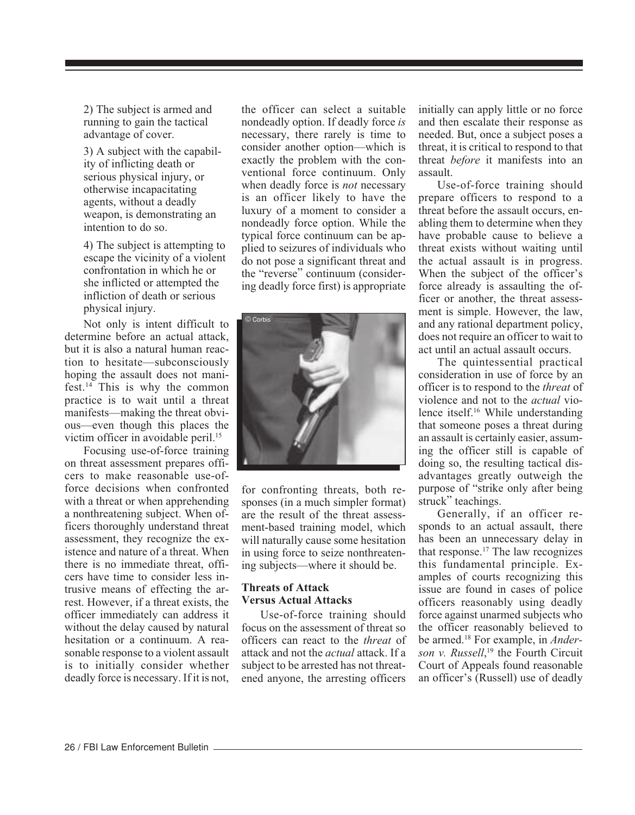2) The subject is armed and running to gain the tactical advantage of cover.

3) A subject with the capability of inflicting death or serious physical injury, or otherwise incapacitating agents, without a deadly weapon, is demonstrating an intention to do so.

4) The subject is attempting to escape the vicinity of a violent confrontation in which he or she inflicted or attempted the infliction of death or serious physical injury.

Not only is intent difficult to determine before an actual attack, but it is also a natural human reaction to hesitate—subconsciously hoping the assault does not manifest.14 This is why the common practice is to wait until a threat manifests—making the threat obvious—even though this places the victim officer in avoidable peril.<sup>15</sup>

Focusing use-of-force training on threat assessment prepares officers to make reasonable use-offorce decisions when confronted with a threat or when apprehending a nonthreatening subject. When officers thoroughly understand threat assessment, they recognize the existence and nature of a threat. When there is no immediate threat, officers have time to consider less intrusive means of effecting the arrest. However, if a threat exists, the officer immediately can address it without the delay caused by natural hesitation or a continuum. A reasonable response to a violent assault is to initially consider whether deadly force is necessary. If it is not,

the officer can select a suitable nondeadly option. If deadly force *is* necessary, there rarely is time to consider another option—which is exactly the problem with the conventional force continuum. Only when deadly force is *not* necessary is an officer likely to have the luxury of a moment to consider a nondeadly force option. While the typical force continuum can be applied to seizures of individuals who do not pose a significant threat and the "reverse" continuum (considering deadly force first) is appropriate



for confronting threats, both responses (in a much simpler format) are the result of the threat assessment-based training model, which will naturally cause some hesitation in using force to seize nonthreatening subjects—where it should be.

#### **Threats of Attack Versus Actual Attacks**

Use-of-force training should focus on the assessment of threat so officers can react to the *threat* of attack and not the *actual* attack. If a subject to be arrested has not threatened anyone, the arresting officers initially can apply little or no force and then escalate their response as needed. But, once a subject poses a threat, it is critical to respond to that threat *before* it manifests into an assault.

Use-of-force training should prepare officers to respond to a threat before the assault occurs, enabling them to determine when they have probable cause to believe a threat exists without waiting until the actual assault is in progress. When the subject of the officer's force already is assaulting the officer or another, the threat assessment is simple. However, the law, and any rational department policy, does not require an officer to wait to act until an actual assault occurs.

The quintessential practical consideration in use of force by an officer is to respond to the *threat* of violence and not to the *actual* violence itself.16 While understanding that someone poses a threat during an assault is certainly easier, assuming the officer still is capable of doing so, the resulting tactical disadvantages greatly outweigh the purpose of "strike only after being struck" teachings.

Generally, if an officer responds to an actual assault, there has been an unnecessary delay in that response.17 The law recognizes this fundamental principle. Examples of courts recognizing this issue are found in cases of police officers reasonably using deadly force against unarmed subjects who the officer reasonably believed to be armed.18 For example, in *Anderson v. Russell*, <sup>19</sup> the Fourth Circuit Court of Appeals found reasonable an officer's (Russell) use of deadly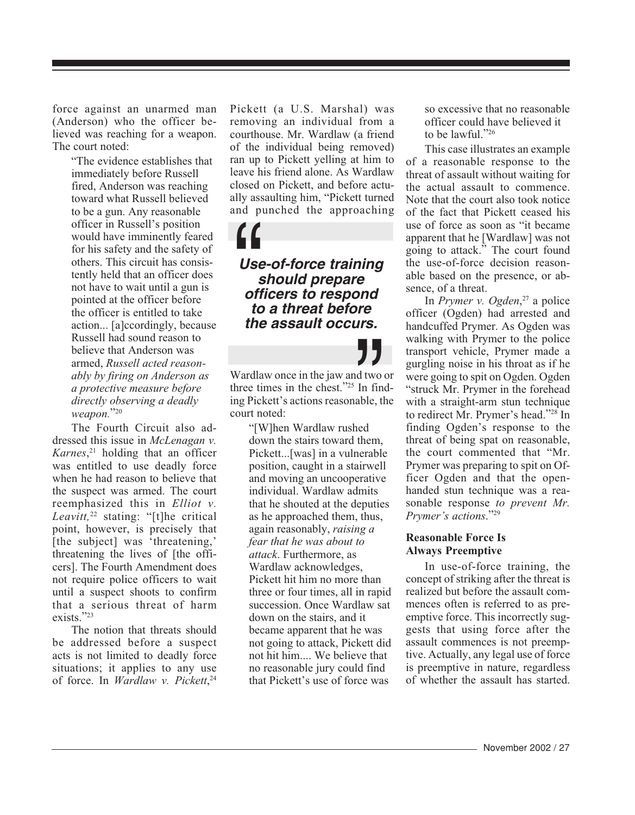force against an unarmed man (Anderson) who the officer believed was reaching for a weapon. The court noted:

> "The evidence establishes that immediately before Russell fired, Anderson was reaching toward what Russell believed to be a gun. Any reasonable officer in Russell's position would have imminently feared for his safety and the safety of others. This circuit has consistently held that an officer does not have to wait until a gun is pointed at the officer before the officer is entitled to take action... [a]ccordingly, because Russell had sound reason to believe that Anderson was armed, *Russell acted reasonably by firing on Anderson as a protective measure before directly observing a deadly weapon.*" 20

The Fourth Circuit also addressed this issue in *McLenagan v. Karnes*, <sup>21</sup> holding that an officer was entitled to use deadly force when he had reason to believe that the suspect was armed. The court reemphasized this in *Elliot v. Leavitt,*<sup>22</sup> stating: "[t]he critical point, however, is precisely that [the subject] was 'threatening,' threatening the lives of [the officers]. The Fourth Amendment does not require police officers to wait until a suspect shoots to confirm that a serious threat of harm exists."<sup>23</sup>

The notion that threats should be addressed before a suspect acts is not limited to deadly force situations; it applies to any use of force. In *Wardlaw v. Pickett*, 24

Pickett (a U.S. Marshal) was removing an individual from a courthouse. Mr. Wardlaw (a friend of the individual being removed) ran up to Pickett yelling at him to leave his friend alone. As Wardlaw closed on Pickett, and before actually assaulting him, "Pickett turned and punched the approaching

### **Use-of-force training should prepare officers to respond to a threat before the assault occurs.** "

Wardlaw once in the jaw and two or three times in the chest."25 In finding Pickett's actions reasonable, the court noted: d two on<br>In find<br>able, the<br>ned

"[W]hen Wardlaw rushed down the stairs toward them, Pickett...[was] in a vulnerable position, caught in a stairwell and moving an uncooperative individual. Wardlaw admits that he shouted at the deputies as he approached them, thus, again reasonably, *raising a fear that he was about to attack*. Furthermore, as Wardlaw acknowledges, Pickett hit him no more than three or four times, all in rapid succession. Once Wardlaw sat down on the stairs, and it became apparent that he was not going to attack, Pickett did not hit him.... We believe that no reasonable jury could find that Pickett's use of force was

so excessive that no reasonable officer could have believed it to be lawful."<sup>26</sup>

This case illustrates an example of a reasonable response to the threat of assault without waiting for the actual assault to commence. Note that the court also took notice of the fact that Pickett ceased his use of force as soon as "it became apparent that he [Wardlaw] was not going to attack." The court found the use-of-force decision reasonable based on the presence, or absence, of a threat.

In *Prymer v. Ogden*, <sup>27</sup> a police officer (Ogden) had arrested and handcuffed Prymer. As Ogden was walking with Prymer to the police transport vehicle, Prymer made a gurgling noise in his throat as if he were going to spit on Ogden. Ogden "struck Mr. Prymer in the forehead with a straight-arm stun technique to redirect Mr. Prymer's head."<sup>28</sup> In finding Ogden's response to the threat of being spat on reasonable, the court commented that "Mr. Prymer was preparing to spit on Officer Ogden and that the openhanded stun technique was a reasonable response *to prevent Mr. Prymer's actions*."<sup>29</sup>

#### **Reasonable Force Is Always Preemptive**

In use-of-force training, the concept of striking after the threat is realized but before the assault commences often is referred to as preemptive force. This incorrectly suggests that using force after the assault commences is not preemptive. Actually, any legal use of force is preemptive in nature, regardless of whether the assault has started.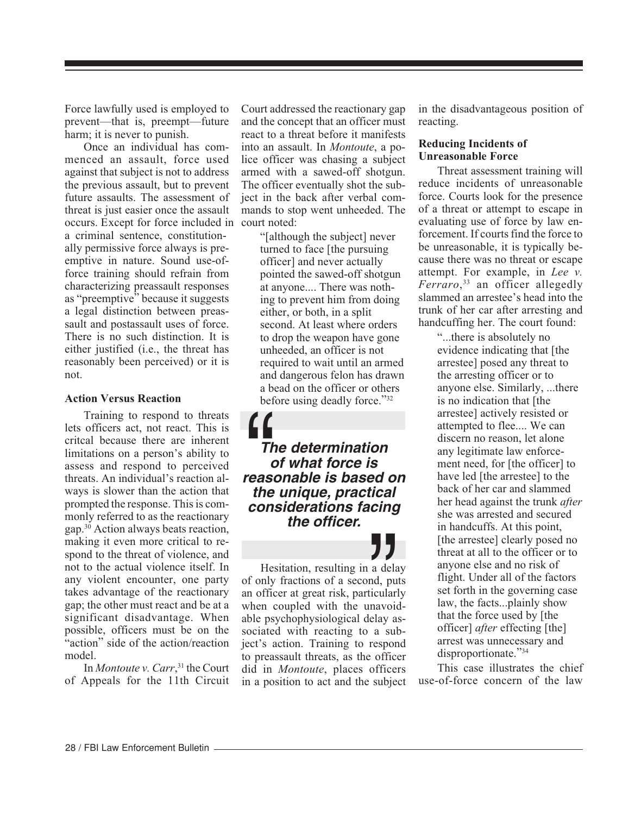Force lawfully used is employed to prevent—that is, preempt—future harm; it is never to punish.

Once an individual has commenced an assault, force used against that subject is not to address the previous assault, but to prevent future assaults. The assessment of threat is just easier once the assault occurs. Except for force included in court noted: a criminal sentence, constitutionally permissive force always is preemptive in nature. Sound use-offorce training should refrain from characterizing preassault responses as "preemptive" because it suggests a legal distinction between preassault and postassault uses of force. There is no such distinction. It is either justified (i.e., the threat has reasonably been perceived) or it is not.

#### **Action Versus Reaction**

Training to respond to threats lets officers act, not react. This is critcal because there are inherent limitations on a person's ability to assess and respond to perceived threats. An individual's reaction always is slower than the action that prompted the response. This is commonly referred to as the reactionary gap.30 Action always beats reaction, making it even more critical to respond to the threat of violence, and not to the actual violence itself. In any violent encounter, one party takes advantage of the reactionary gap; the other must react and be at a significant disadvantage. When possible, officers must be on the "action" side of the action/reaction model.

In *Montoute v. Carr*, <sup>31</sup> the Court of Appeals for the 11th Circuit Court addressed the reactionary gap and the concept that an officer must react to a threat before it manifests into an assault. In *Montoute*, a police officer was chasing a subject armed with a sawed-off shotgun. The officer eventually shot the subject in the back after verbal commands to stop went unheeded. The

> "[although the subject] never turned to face [the pursuing officer] and never actually pointed the sawed-off shotgun at anyone.... There was nothing to prevent him from doing either, or both, in a split second. At least where orders to drop the weapon have gone unheeded, an officer is not required to wait until an armed and dangerous felon has drawn a bead on the officer or others before using deadly force."<sup>32</sup>

**The determination of what force is reasonable is based on the unique, practical considerations facing the officer.** "

Hesitation, resulting in a delay of only fractions of a second, puts an officer at great risk, particularly when coupled with the unavoidable psychophysiological delay associated with reacting to a subject's action. Training to respond to preassault threats, as the officer did in *Montoute*, places officers in a position to act and the subject a delay<br>
nd, puts<br>
icularly<br>
navoid-<br>
elay asin the disadvantageous position of reacting.

#### **Reducing Incidents of Unreasonable Force**

Threat assessment training will reduce incidents of unreasonable force. Courts look for the presence of a threat or attempt to escape in evaluating use of force by law enforcement. If courts find the force to be unreasonable, it is typically because there was no threat or escape attempt. For example, in *Lee v. Ferraro*, <sup>33</sup> an officer allegedly slammed an arrestee's head into the trunk of her car after arresting and handcuffing her. The court found:

"...there is absolutely no evidence indicating that [the arrestee] posed any threat to the arresting officer or to anyone else. Similarly, ...there is no indication that [the arrestee] actively resisted or attempted to flee.... We can discern no reason, let alone any legitimate law enforcement need, for [the officer] to have led [the arrestee] to the back of her car and slammed her head against the trunk *after* she was arrested and secured in handcuffs. At this point, [the arrestee] clearly posed no threat at all to the officer or to anyone else and no risk of flight. Under all of the factors set forth in the governing case law, the facts...plainly show that the force used by [the officer] *after* effecting [the] arrest was unnecessary and disproportionate."<sup>34</sup>

This case illustrates the chief use-of-force concern of the law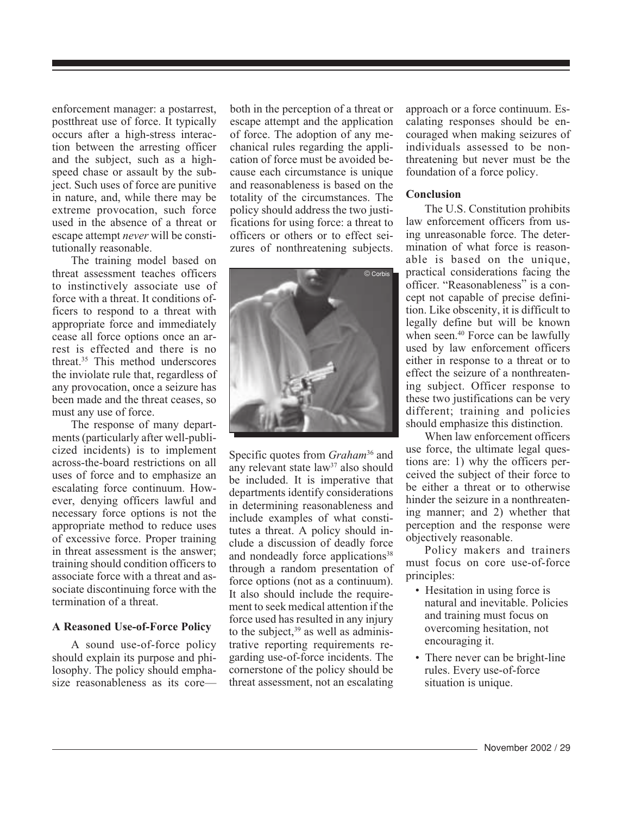enforcement manager: a postarrest, postthreat use of force. It typically occurs after a high-stress interaction between the arresting officer and the subject, such as a highspeed chase or assault by the subject. Such uses of force are punitive in nature, and, while there may be extreme provocation, such force used in the absence of a threat or escape attempt *never* will be constitutionally reasonable.

The training model based on threat assessment teaches officers to instinctively associate use of force with a threat. It conditions officers to respond to a threat with appropriate force and immediately cease all force options once an arrest is effected and there is no threat.<sup>35</sup> This method underscores the inviolate rule that, regardless of any provocation, once a seizure has been made and the threat ceases, so must any use of force.

The response of many departments (particularly after well-publicized incidents) is to implement across-the-board restrictions on all uses of force and to emphasize an escalating force continuum. However, denying officers lawful and necessary force options is not the appropriate method to reduce uses of excessive force. Proper training in threat assessment is the answer; training should condition officers to associate force with a threat and associate discontinuing force with the termination of a threat.

#### **A Reasoned Use-of-Force Policy**

A sound use-of-force policy should explain its purpose and philosophy. The policy should emphasize reasonableness as its coreboth in the perception of a threat or escape attempt and the application of force. The adoption of any mechanical rules regarding the application of force must be avoided because each circumstance is unique and reasonableness is based on the totality of the circumstances. The policy should address the two justifications for using force: a threat to officers or others or to effect seizures of nonthreatening subjects.



Specific quotes from *Graham*<sup>36</sup> and any relevant state law<sup>37</sup> also should be included. It is imperative that departments identify considerations in determining reasonableness and include examples of what constitutes a threat. A policy should include a discussion of deadly force and nondeadly force applications<sup>38</sup> through a random presentation of force options (not as a continuum). It also should include the requirement to seek medical attention if the force used has resulted in any injury to the subject, $39$  as well as administrative reporting requirements regarding use-of-force incidents. The cornerstone of the policy should be threat assessment, not an escalating approach or a force continuum. Escalating responses should be encouraged when making seizures of individuals assessed to be nonthreatening but never must be the foundation of a force policy.

#### **Conclusion**

The U.S. Constitution prohibits law enforcement officers from using unreasonable force. The determination of what force is reasonable is based on the unique, practical considerations facing the officer. "Reasonableness" is a concept not capable of precise definition. Like obscenity, it is difficult to legally define but will be known when seen.<sup>40</sup> Force can be lawfully used by law enforcement officers either in response to a threat or to effect the seizure of a nonthreatening subject. Officer response to these two justifications can be very different; training and policies should emphasize this distinction.

When law enforcement officers use force, the ultimate legal questions are: 1) why the officers perceived the subject of their force to be either a threat or to otherwise hinder the seizure in a nonthreatening manner; and 2) whether that perception and the response were objectively reasonable.

Policy makers and trainers must focus on core use-of-force principles:

- Hesitation in using force is natural and inevitable. Policies and training must focus on overcoming hesitation, not encouraging it.
- There never can be bright-line rules. Every use-of-force situation is unique.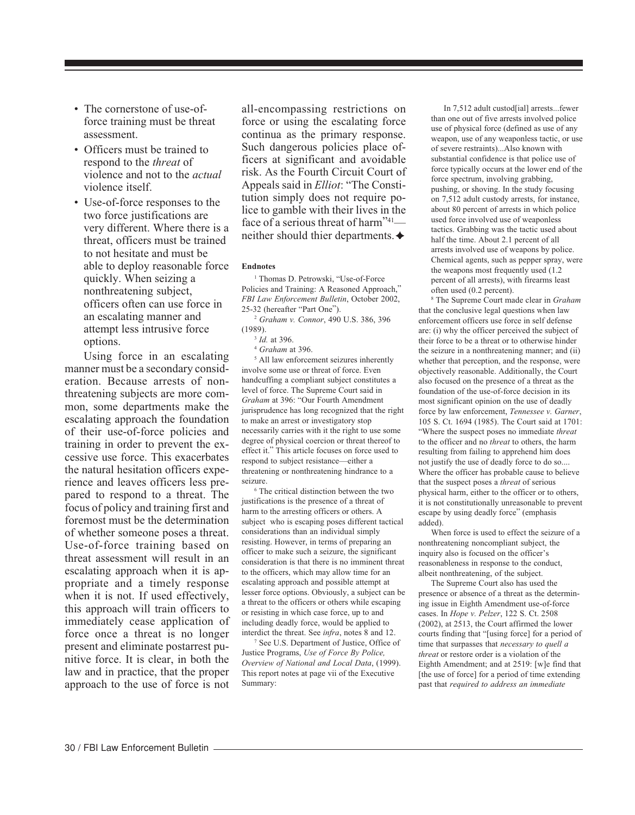- The cornerstone of use-offorce training must be threat assessment.
- Officers must be trained to respond to the *threat* of violence and not to the *actual* violence itself.
- Use-of-force responses to the two force justifications are very different. Where there is a threat, officers must be trained to not hesitate and must be able to deploy reasonable force quickly. When seizing a nonthreatening subject, officers often can use force in an escalating manner and attempt less intrusive force options.

Using force in an escalating manner must be a secondary consideration. Because arrests of nonthreatening subjects are more common, some departments make the escalating approach the foundation of their use-of-force policies and training in order to prevent the excessive use force. This exacerbates the natural hesitation officers experience and leaves officers less prepared to respond to a threat. The focus of policy and training first and foremost must be the determination of whether someone poses a threat. Use-of-force training based on threat assessment will result in an escalating approach when it is appropriate and a timely response when it is not. If used effectively, this approach will train officers to immediately cease application of force once a threat is no longer present and eliminate postarrest punitive force. It is clear, in both the law and in practice, that the proper approach to the use of force is not all-encompassing restrictions on force or using the escalating force continua as the primary response. Such dangerous policies place officers at significant and avoidable risk. As the Fourth Circuit Court of Appeals said in *Elliot*: "The Constitution simply does not require police to gamble with their lives in the face of a serious threat of harm"<sup>41</sup> neither should thier departments.

#### **Endnotes**

<sup>1</sup> Thomas D. Petrowski, "Use-of-Force Policies and Training: A Reasoned Approach," *FBI Law Enforcement Bulletin*, October 2002, 25-32 (hereafter "Part One").

<sup>2</sup> *Graham v. Connor*, 490 U.S. 386, 396 (1989).

3 *Id.* at 396.

<sup>4</sup> *Graham* at 396.

5 All law enforcement seizures inherently involve some use or threat of force. Even handcuffing a compliant subject constitutes a level of force. The Supreme Court said in *Graham* at 396: "Our Fourth Amendment jurisprudence has long recognized that the right to make an arrest or investigatory stop necessarily carries with it the right to use some degree of physical coercion or threat thereof to effect it." This article focuses on force used to respond to subject resistance—either a threatening or nonthreatening hindrance to a seizure.

6 The critical distinction between the two justifications is the presence of a threat of harm to the arresting officers or others. A subject who is escaping poses different tactical considerations than an individual simply resisting. However, in terms of preparing an officer to make such a seizure, the significant consideration is that there is no imminent threat to the officers, which may allow time for an escalating approach and possible attempt at lesser force options. Obviously, a subject can be a threat to the officers or others while escaping or resisting in which case force, up to and including deadly force, would be applied to interdict the threat. See *infra*, notes 8 and 12.

7 See U.S. Department of Justice, Office of Justice Programs, *Use of Force By Police, Overview of National and Local Data*, (1999). This report notes at page vii of the Executive Summary:

In 7,512 adult custod[ial] arrests...fewer than one out of five arrests involved police use of physical force (defined as use of any weapon, use of any weaponless tactic, or use of severe restraints)...Also known with substantial confidence is that police use of force typically occurs at the lower end of the force spectrum, involving grabbing, pushing, or shoving. In the study focusing on 7,512 adult custody arrests, for instance, about 80 percent of arrests in which police used force involved use of weaponless tactics. Grabbing was the tactic used about half the time. About 2.1 percent of all arrests involved use of weapons by police. Chemical agents, such as pepper spray, were the weapons most frequently used (1.2 percent of all arrests), with firearms least often used (0.2 percent).

8 The Supreme Court made clear in *Graham* that the conclusive legal questions when law enforcement officers use force in self defense are: (i) why the officer perceived the subject of their force to be a threat or to otherwise hinder the seizure in a nonthreatening manner; and (ii) whether that perception, and the response, were objectively reasonable. Additionally, the Court also focused on the presence of a threat as the foundation of the use-of-force decision in its most significant opinion on the use of deadly force by law enforcement, *Tennessee v. Garner*, 105 S. Ct. 1694 (1985). The Court said at 1701: "Where the suspect poses no immediate *threat* to the officer and no *threat* to others, the harm resulting from failing to apprehend him does not justify the use of deadly force to do so.... Where the officer has probable cause to believe that the suspect poses a *threat* of serious physical harm, either to the officer or to others, it is not constitutionally unreasonable to prevent escape by using deadly force" (emphasis added).

When force is used to effect the seizure of a nonthreatening noncompliant subject, the inquiry also is focused on the officer's reasonableness in response to the conduct, albeit nonthreatening, of the subject.

The Supreme Court also has used the presence or absence of a threat as the determining issue in Eighth Amendment use-of-force cases. In *Hope v. Pelzer*, 122 S. Ct. 2508 (2002), at 2513, the Court affirmed the lower courts finding that "[using force] for a period of time that surpasses that *necessary to quell a threat* or restore order is a violation of the Eighth Amendment; and at 2519: [w]e find that [the use of force] for a period of time extending past that *required to address an immediate*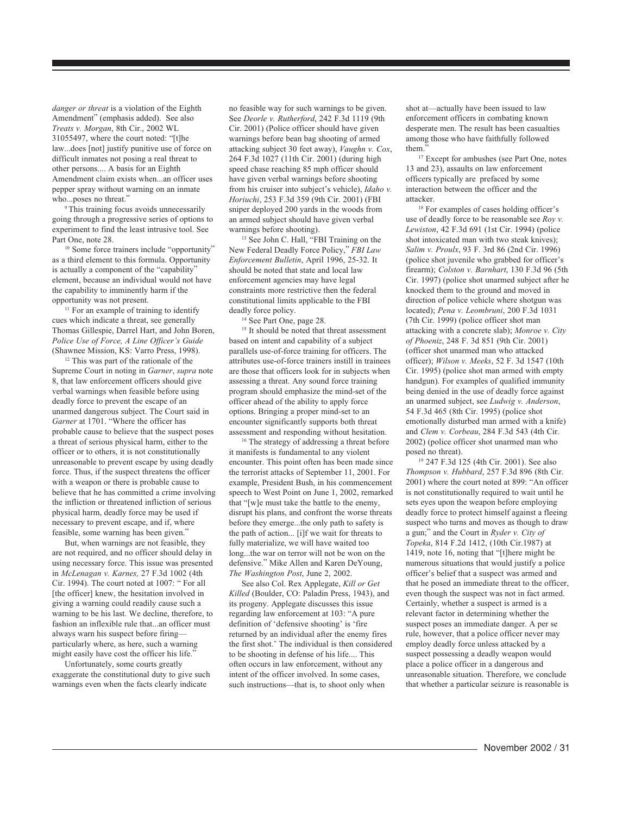*danger or threat* is a violation of the Eighth Amendment" (emphasis added). See also *Treats v. Morgan*, 8th Cir., 2002 WL 31055497, where the court noted: "[t]he law...does [not] justify punitive use of force on difficult inmates not posing a real threat to other persons.... A basis for an Eighth Amendment claim exists when...an officer uses pepper spray without warning on an inmate who...poses no threat."

<sup>9</sup>This training focus avoids unnecessarily going through a progressive series of options to experiment to find the least intrusive tool. See Part One, note 28.

<sup>10</sup> Some force trainers include "opportunity" as a third element to this formula. Opportunity is actually a component of the "capability" element, because an individual would not have the capability to imminently harm if the opportunity was not present.

<sup>11</sup> For an example of training to identify cues which indicate a threat, see generally Thomas Gillespie, Darrel Hart, and John Boren, *Police Use of Force, A Line Officer's Guide* (Shawnee Mission, KS: Varro Press, 1998).

<sup>12</sup> This was part of the rationale of the Supreme Court in noting in *Garner*, *supra* note 8, that law enforcement officers should give verbal warnings when feasible before using deadly force to prevent the escape of an unarmed dangerous subject. The Court said in *Garner* at 1701. "Where the officer has probable cause to believe that the suspect poses a threat of serious physical harm, either to the officer or to others, it is not constitutionally unreasonable to prevent escape by using deadly force. Thus, if the suspect threatens the officer with a weapon or there is probable cause to believe that he has committed a crime involving the infliction or threatened infliction of serious physical harm, deadly force may be used if necessary to prevent escape, and if, where feasible, some warning has been given."

But, when warnings are not feasible, they are not required, and no officer should delay in using necessary force. This issue was presented in *McLenagan v. Karnes,* 27 F.3d 1002 (4th Cir. 1994). The court noted at 1007: " For all [the officer] knew, the hesitation involved in giving a warning could readily cause such a warning to be his last. We decline, therefore, to fashion an inflexible rule that...an officer must always warn his suspect before firing particularly where, as here, such a warning might easily have cost the officer his life."

Unfortunately, some courts greatly exaggerate the constitutional duty to give such warnings even when the facts clearly indicate

no feasible way for such warnings to be given. See *Deorle v. Rutherford*, 242 F.3d 1119 (9th Cir. 2001) (Police officer should have given warnings before bean bag shooting of armed attacking subject 30 feet away), *Vaughn v. Cox*, 264 F.3d 1027 (11th Cir. 2001) (during high speed chase reaching 85 mph officer should have given verbal warnings before shooting from his cruiser into subject's vehicle), *Idaho v. Horiuchi*, 253 F.3d 359 (9th Cir. 2001) (FBI sniper deployed 200 yards in the woods from an armed subject should have given verbal warnings before shooting).

<sup>13</sup> See John C. Hall, "FBI Training on the New Federal Deadly Force Policy," *FBI Law Enforcement Bulletin*, April 1996, 25-32. It should be noted that state and local law enforcement agencies may have legal constraints more restrictive then the federal constitutional limits applicable to the FBI deadly force policy.

<sup>14</sup> See Part One, page 28.

<sup>15</sup> It should be noted that threat assessment based on intent and capability of a subject parallels use-of-force training for officers. The attributes use-of-force trainers instill in trainees are those that officers look for in subjects when assessing a threat. Any sound force training program should emphasize the mind-set of the officer ahead of the ability to apply force options. Bringing a proper mind-set to an encounter significantly supports both threat assessment and responding without hesitation.

<sup>16</sup> The strategy of addressing a threat before it manifests is fundamental to any violent encounter. This point often has been made since the terrorist attacks of September 11, 2001. For example, President Bush, in his commencement speech to West Point on June 1, 2002, remarked that "[w]e must take the battle to the enemy, disrupt his plans, and confront the worse threats before they emerge...the only path to safety is the path of action... [i]f we wait for threats to fully materialize, we will have waited too long...the war on terror will not be won on the defensive." Mike Allen and Karen DeYoung, *The Washington Post*, June 2, 2002.

See also Col. Rex Applegate, *Kill or Get Killed* (Boulder, CO: Paladin Press, 1943), and its progeny. Applegate discusses this issue regarding law enforcement at 103: "A pure definition of 'defensive shooting' is 'fire returned by an individual after the enemy fires the first shot.' The individual is then considered to be shooting in defense of his life.... This often occurs in law enforcement, without any intent of the officer involved. In some cases, such instructions—that is, to shoot only when

shot at—actually have been issued to law enforcement officers in combating known desperate men. The result has been casualties among those who have faithfully followed them."

<sup>17</sup> Except for ambushes (see Part One, notes 13 and 23), assaults on law enforcement officers typically are prefaced by some interaction between the officer and the attacker.

<sup>18</sup> For examples of cases holding officer's use of deadly force to be reasonable see *Roy v. Lewiston*, 42 F.3d 691 (1st Cir. 1994) (police shot intoxicated man with two steak knives); *Salim v. Proulx*, 93 F. 3rd 86 (2nd Cir. 1996) (police shot juvenile who grabbed for officer's firearm); *Colston v. Barnhart*, 130 F.3d 96 (5th Cir. 1997) (police shot unarmed subject after he knocked them to the ground and moved in direction of police vehicle where shotgun was located); *Pena v. Leombruni*, 200 F.3d 1031 (7th Cir. 1999) (police officer shot man attacking with a concrete slab); *Monroe v. City of Phoeniz*, 248 F. 3d 851 (9th Cir. 2001) (officer shot unarmed man who attacked officer); *Wilson v. Meeks*, 52 F. 3d 1547 (10th Cir. 1995) (police shot man armed with empty handgun). For examples of qualified immunity being denied in the use of deadly force against an unarmed subject, see *Ludwig v. Anderson*, 54 F.3d 465 (8th Cir. 1995) (police shot emotionally disturbed man armed with a knife) and *Clem v. Corbeau*, 284 F.3d 543 (4th Cir. 2002) (police officer shot unarmed man who posed no threat).

<sup>19</sup> 247 F.3d 125 (4th Cir. 2001). See also *Thompson v. Hubbard*, 257 F.3d 896 (8th Cir. 2001) where the court noted at 899: "An officer is not constitutionally required to wait until he sets eyes upon the weapon before employing deadly force to protect himself against a fleeing suspect who turns and moves as though to draw a gun;" and the Court in *Ryder v. City of Topeka*, 814 F.2d 1412, (10th Cir.1987) at 1419, note 16, noting that "[t]here might be numerous situations that would justify a police officer's belief that a suspect was armed and that he posed an immediate threat to the officer, even though the suspect was not in fact armed. Certainly, whether a suspect is armed is a relevant factor in determining whether the suspect poses an immediate danger. A per se rule, however, that a police officer never may employ deadly force unless attacked by a suspect possessing a deadly weapon would place a police officer in a dangerous and unreasonable situation. Therefore, we conclude that whether a particular seizure is reasonable is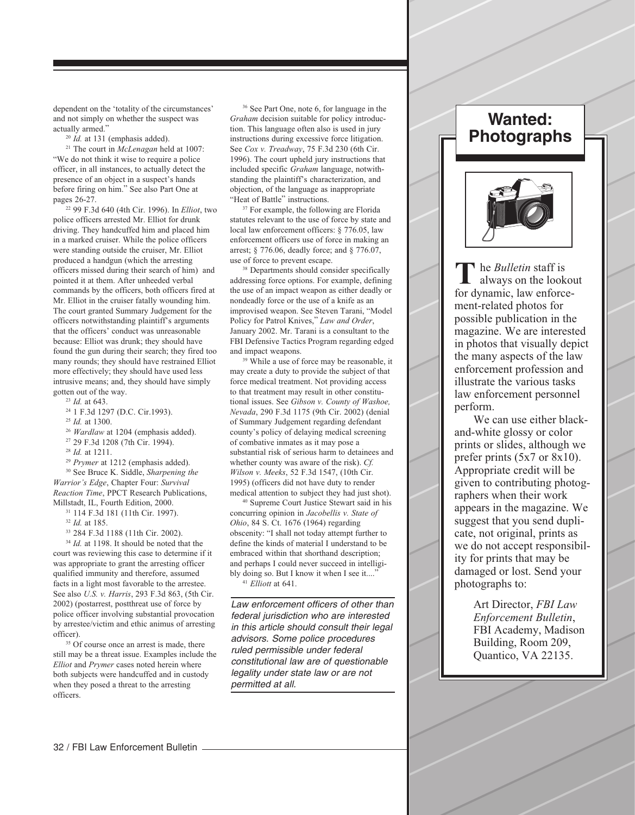dependent on the 'totality of the circumstances' and not simply on whether the suspect was actually armed."

<sup>20</sup> *Id.* at 131 (emphasis added).

<sup>21</sup> The court in *McLenagan* held at 1007: "We do not think it wise to require a police officer, in all instances, to actually detect the presence of an object in a suspect's hands before firing on him." See also Part One at pages 26-27.

<sup>22</sup> 99 F.3d 640 (4th Cir. 1996). In *Elliot*, two police officers arrested Mr. Elliot for drunk driving. They handcuffed him and placed him in a marked cruiser. While the police officers were standing outside the cruiser, Mr. Elliot produced a handgun (which the arresting officers missed during their search of him) and pointed it at them. After unheeded verbal commands by the officers, both officers fired at Mr. Elliot in the cruiser fatally wounding him. The court granted Summary Judgement for the officers notwithstanding plaintiff's arguments that the officers' conduct was unreasonable because: Elliot was drunk; they should have found the gun during their search; they fired too many rounds; they should have restrained Elliot more effectively; they should have used less intrusive means; and, they should have simply gotten out of the way.

- <sup>23</sup> *Id.* at 643.
- <sup>24</sup> 1 F.3d 1297 (D.C. Cir.1993).
- <sup>25</sup> *Id.* at 1300.
- <sup>26</sup> *Wardlaw* at 1204 (emphasis added).
- <sup>27</sup> 29 F.3d 1208 (7th Cir. 1994).
- <sup>28</sup> *Id.* at 1211.
- <sup>29</sup> *Prymer* at 1212 (emphasis added).

<sup>30</sup> See Bruce K. Siddle, *Sharpening the Warrior's Edge*, Chapter Four: *Survival Reaction Time*, PPCT Research Publications, Millstadt, IL, Fourth Edition, 2000.

<sup>31</sup> 114 F.3d 181 (11th Cir. 1997).

<sup>32</sup> *Id.* at 185.

<sup>33</sup> 284 F.3d 1188 (11th Cir. 2002).

<sup>34</sup> *Id.* at 1198. It should be noted that the court was reviewing this case to determine if it was appropriate to grant the arresting officer qualified immunity and therefore, assumed facts in a light most favorable to the arrestee. See also *U.S. v. Harris*, 293 F.3d 863, (5th Cir. 2002) (postarrest, postthreat use of force by police officer involving substantial provocation by arrestee/victim and ethic animus of arresting officer).

<sup>35</sup> Of course once an arrest is made, there still may be a threat issue. Examples include the *Elliot* and *Prymer* cases noted herein where both subjects were handcuffed and in custody when they posed a threat to the arresting officers.

<sup>36</sup> See Part One, note 6, for language in the *Graham* decision suitable for policy introduction. This language often also is used in jury instructions during excessive force litigation. See *Cox v. Treadway*, 75 F.3d 230 (6th Cir. 1996). The court upheld jury instructions that included specific *Graham* language, notwithstanding the plaintiff's characterization, and objection, of the language as inappropriate "Heat of Battle" instructions.

<sup>37</sup> For example, the following are Florida statutes relevant to the use of force by state and local law enforcement officers: § 776.05, law enforcement officers use of force in making an arrest; § 776.06, deadly force; and § 776.07, use of force to prevent escape.

<sup>38</sup> Departments should consider specifically addressing force options. For example, defining the use of an impact weapon as either deadly or nondeadly force or the use of a knife as an improvised weapon. See Steven Tarani, "Model Policy for Patrol Knives," *Law and Order*, January 2002. Mr. Tarani is a consultant to the FBI Defensive Tactics Program regarding edged and impact weapons.

<sup>39</sup> While a use of force may be reasonable, it may create a duty to provide the subject of that force medical treatment. Not providing access to that treatment may result in other constitutional issues. See *Gibson v. County of Washoe, Nevada*, 290 F.3d 1175 (9th Cir. 2002) (denial of Summary Judgement regarding defendant county's policy of delaying medical screening of combative inmates as it may pose a substantial risk of serious harm to detainees and whether county was aware of the risk). *Cf. Wilson v. Meeks*, 52 F.3d 1547, (10th Cir. 1995) (officers did not have duty to render medical attention to subject they had just shot).

<sup>40</sup> Supreme Court Justice Stewart said in his concurring opinion in *Jacobellis v. State of Ohio*, 84 S. Ct. 1676 (1964) regarding obscenity: "I shall not today attempt further to define the kinds of material I understand to be embraced within that shorthand description; and perhaps I could never succeed in intelligibly doing so. But I know it when I see it...." <sup>41</sup> *Elliott* at 641.

Law enforcement officers of other than federal jurisdiction who are interested in this article should consult their legal advisors. Some police procedures ruled permissible under federal constitutional law are of questionable legality under state law or are not permitted at all.

### **Wanted: Photographs**



**h P**alletin staff is **T**always on the lookout for dynamic, law enforcement-related photos for possible publication in the magazine. We are interested in photos that visually depict the many aspects of the law enforcement profession and illustrate the various tasks law enforcement personnel perform.

We can use either blackand-white glossy or color prints or slides, although we prefer prints (5x7 or 8x10). Appropriate credit will be given to contributing photographers when their work appears in the magazine. We suggest that you send duplicate, not original, prints as we do not accept responsibility for prints that may be damaged or lost. Send your photographs to:

> Art Director, *FBI Law Enforcement Bulletin*, FBI Academy, Madison Building, Room 209, Quantico, VA 22135.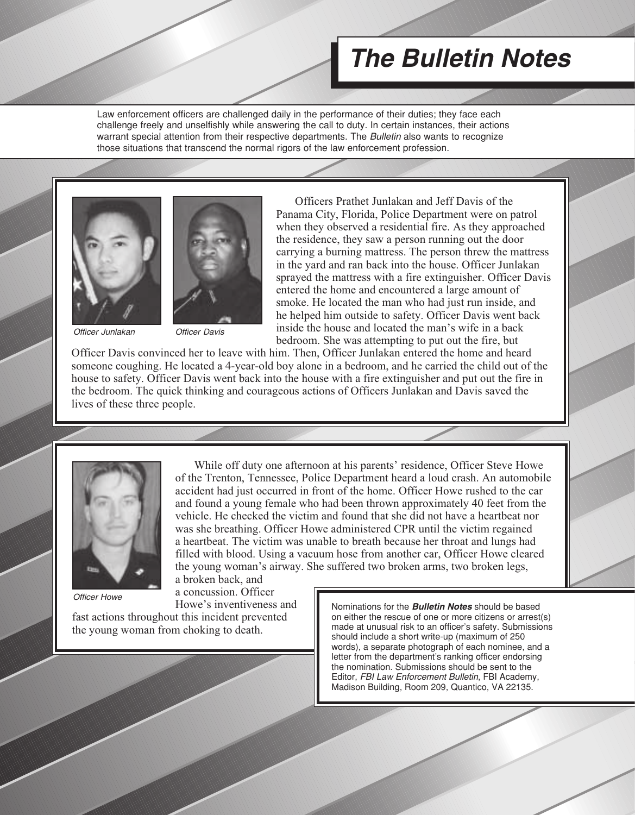# **The Bulletin Notes**

Law enforcement officers are challenged daily in the performance of their duties; they face each challenge freely and unselfishly while answering the call to duty. In certain instances, their actions warrant special attention from their respective departments. The Bulletin also wants to recognize those situations that transcend the normal rigors of the law enforcement profession.



Officer Junlakan



Officer Davis

Officers Prathet Junlakan and Jeff Davis of the Panama City, Florida, Police Department were on patrol when they observed a residential fire. As they approached the residence, they saw a person running out the door carrying a burning mattress. The person threw the mattress in the yard and ran back into the house. Officer Junlakan sprayed the mattress with a fire extinguisher. Officer Davis entered the home and encountered a large amount of smoke. He located the man who had just run inside, and he helped him outside to safety. Officer Davis went back inside the house and located the man's wife in a back bedroom. She was attempting to put out the fire, but

Officer Davis convinced her to leave with him. Then, Officer Junlakan entered the home and heard someone coughing. He located a 4-year-old boy alone in a bedroom, and he carried the child out of the house to safety. Officer Davis went back into the house with a fire extinguisher and put out the fire in the bedroom. The quick thinking and courageous actions of Officers Junlakan and Davis saved the lives of these three people.



Officer Howe

While off duty one afternoon at his parents' residence, Officer Steve Howe of the Trenton, Tennessee, Police Department heard a loud crash. An automobile accident had just occurred in front of the home. Officer Howe rushed to the car and found a young female who had been thrown approximately 40 feet from the vehicle. He checked the victim and found that she did not have a heartbeat nor was she breathing. Officer Howe administered CPR until the victim regained a heartbeat. The victim was unable to breath because her throat and lungs had filled with blood. Using a vacuum hose from another car, Officer Howe cleared the young woman's airway. She suffered two broken arms, two broken legs,

a broken back, and a concussion. Officer Howe's inventiveness and

fast actions throughout this incident prevented the young woman from choking to death.

Nominations for the **Bulletin Notes** should be based on either the rescue of one or more citizens or arrest(s) made at unusual risk to an officer's safety. Submissions should include a short write-up (maximum of 250 words), a separate photograph of each nominee, and a letter from the department's ranking officer endorsing the nomination. Submissions should be sent to the Editor, FBI Law Enforcement Bulletin, FBI Academy, Madison Building, Room 209, Quantico, VA 22135.